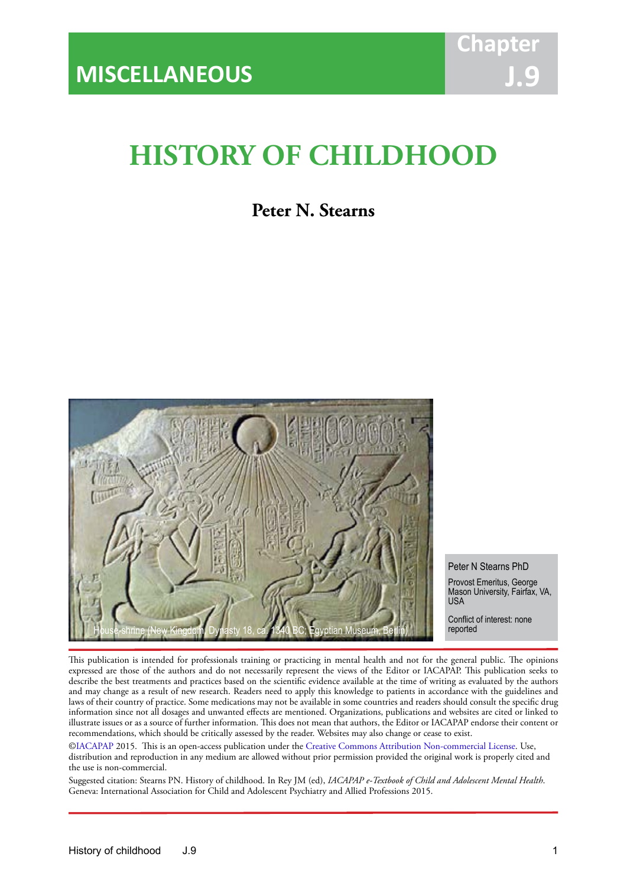# **HISTORY OF CHILDHOOD**

IACAPAP Textbook of Child and Adolescent Mental Health

# **Peter N. Stearns**



Peter N Stearns PhD Provost Emeritus, George Mason University, Fairfax, VA, **USA** 

Conflict of interest: none

This publication is intended for professionals training or practicing in mental health and not for the general public. The opinions expressed are those of the authors and do not necessarily represent the views of the Editor or IACAPAP. This publication seeks to describe the best treatments and practices based on the scientific evidence available at the time of writing as evaluated by the authors and may change as a result of new research. Readers need to apply this knowledge to patients in accordance with the guidelines and laws of their country of practice. Some medications may not be available in some countries and readers should consult the specific drug information since not all dosages and unwanted effects are mentioned. Organizations, publications and websites are cited or linked to illustrate issues or as a source of further information. This does not mean that authors, the Editor or IACAPAP endorse their content or recommendations, which should be critically assessed by the reader. Websites may also change or cease to exist.

[©IACAPAP](http://iacapap.org/) 2015. This is an open-access publication under the [Creative Commons Attribution Non-commercial License](http://creativecommons.org/licenses/by-nc/2.0/). Use, distribution and reproduction in any medium are allowed without prior permission provided the original work is properly cited and the use is non-commercial.

Suggested citation: Stearns PN. History of childhood. In Rey JM (ed), *IACAPAP e-Textbook of Child and Adolescent Mental Health*. Geneva: International Association for Child and Adolescent Psychiatry and Allied Professions 2015.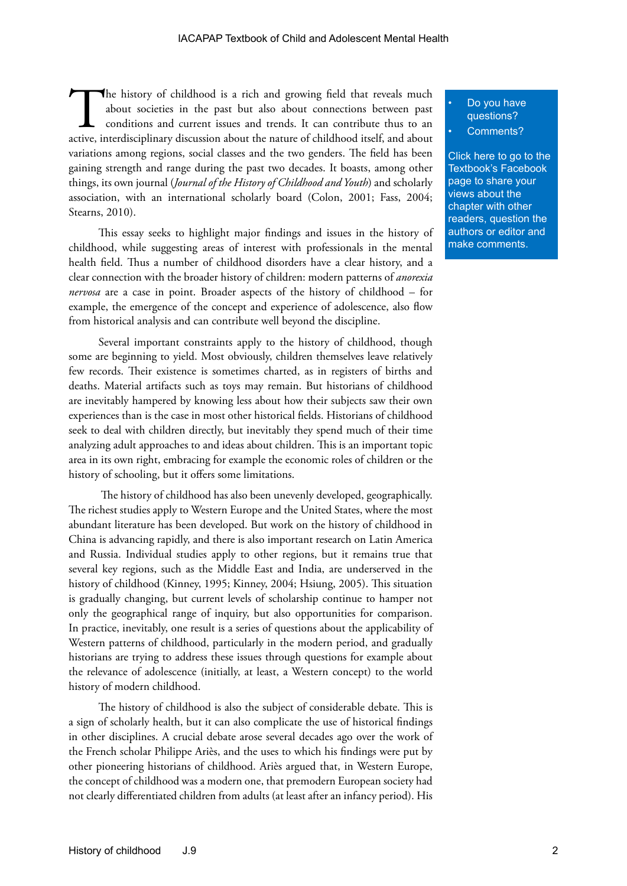The history of childhood is a rich and growing field that reveals much about societies in the past but also about connections between past conditions and current issues and trends. It can contribute thus to an active, interdisciplinary discussion about the nature of childhood itself, and about variations among regions, social classes and the two genders. The field has been gaining strength and range during the past two decades. It boasts, among other things, its own journal (*Journal of the History of Childhood and Youth*) and scholarly association, with an international scholarly board (Colon, 2001; Fass, 2004; Stearns, 2010).

This essay seeks to highlight major findings and issues in the history of childhood, while suggesting areas of interest with professionals in the mental health field. Thus a number of childhood disorders have a clear history, and a clear connection with the broader history of children: modern patterns of *anorexia nervosa* are a case in point. Broader aspects of the history of childhood – for example, the emergence of the concept and experience of adolescence, also flow from historical analysis and can contribute well beyond the discipline.

Several important constraints apply to the history of childhood, though some are beginning to yield. Most obviously, children themselves leave relatively few records. Their existence is sometimes charted, as in registers of births and deaths. Material artifacts such as toys may remain. But historians of childhood are inevitably hampered by knowing less about how their subjects saw their own experiences than is the case in most other historical fields. Historians of childhood seek to deal with children directly, but inevitably they spend much of their time analyzing adult approaches to and ideas about children. This is an important topic area in its own right, embracing for example the economic roles of children or the history of schooling, but it offers some limitations.

 The history of childhood has also been unevenly developed, geographically. The richest studies apply to Western Europe and the United States, where the most abundant literature has been developed. But work on the history of childhood in China is advancing rapidly, and there is also important research on Latin America and Russia. Individual studies apply to other regions, but it remains true that several key regions, such as the Middle East and India, are underserved in the history of childhood (Kinney, 1995; Kinney, 2004; Hsiung, 2005). This situation is gradually changing, but current levels of scholarship continue to hamper not only the geographical range of inquiry, but also opportunities for comparison. In practice, inevitably, one result is a series of questions about the applicability of Western patterns of childhood, particularly in the modern period, and gradually historians are trying to address these issues through questions for example about the relevance of adolescence (initially, at least, a Western concept) to the world history of modern childhood.

The history of childhood is also the subject of considerable debate. This is a sign of scholarly health, but it can also complicate the use of historical findings in other disciplines. A crucial debate arose several decades ago over the work of the French scholar Philippe Ariès, and the uses to which his findings were put by other pioneering historians of childhood. Ariès argued that, in Western Europe, the concept of childhood was a modern one, that premodern European society had not clearly differentiated children from adults (at least after an infancy period). His

#### • Do you have questions?

#### Comments?

[Click here to go to the](https://www.facebook.com/pages/IACAPAP-Textbook-of-Child-and-Adolescent-Mental-Health/249690448525378)  Textbook's Facebook page to share your views about the chapter with other readers, question the authors or editor and make comments.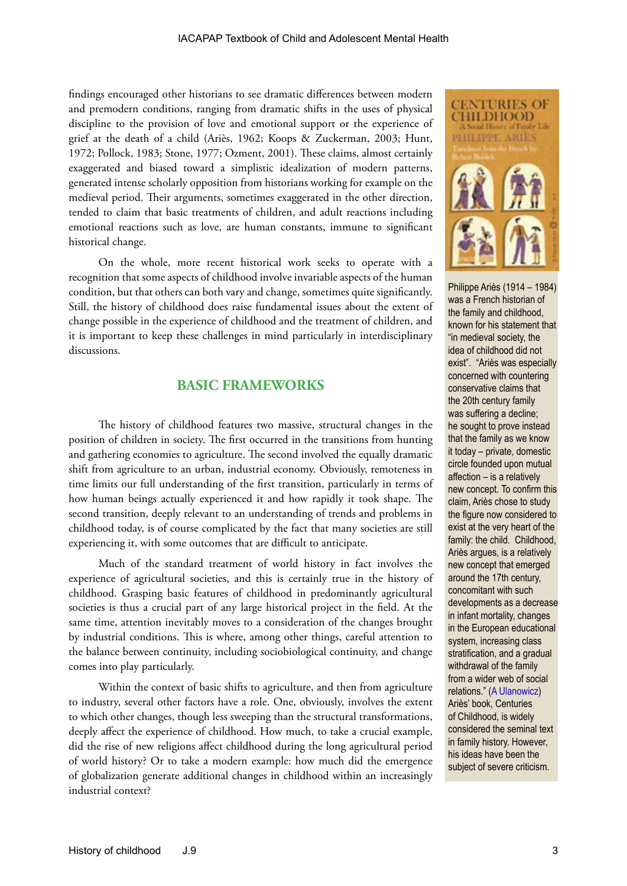findings encouraged other historians to see dramatic differences between modern and premodern conditions, ranging from dramatic shifts in the uses of physical discipline to the provision of love and emotional support or the experience of grief at the death of a child (Ariès, 1962; Koops & Zuckerman, 2003; Hunt, 1972; Pollock, 1983; Stone, 1977; Ozment, 2001). These claims, almost certainly exaggerated and biased toward a simplistic idealization of modern patterns, generated intense scholarly opposition from historians working for example on the medieval period. Their arguments, sometimes exaggerated in the other direction, tended to claim that basic treatments of children, and adult reactions including emotional reactions such as love, are human constants, immune to significant historical change.

On the whole, more recent historical work seeks to operate with a recognition that some aspects of childhood involve invariable aspects of the human condition, but that others can both vary and change, sometimes quite significantly. Still, the history of childhood does raise fundamental issues about the extent of change possible in the experience of childhood and the treatment of children, and it is important to keep these challenges in mind particularly in interdisciplinary discussions.

## **BASIC FRAMEWORKS**

The history of childhood features two massive, structural changes in the position of children in society. The first occurred in the transitions from hunting and gathering economies to agriculture. The second involved the equally dramatic shift from agriculture to an urban, industrial economy. Obviously, remoteness in time limits our full understanding of the first transition, particularly in terms of how human beings actually experienced it and how rapidly it took shape. The second transition, deeply relevant to an understanding of trends and problems in childhood today, is of course complicated by the fact that many societies are still experiencing it, with some outcomes that are difficult to anticipate.

Much of the standard treatment of world history in fact involves the experience of agricultural societies, and this is certainly true in the history of childhood. Grasping basic features of childhood in predominantly agricultural societies is thus a crucial part of any large historical project in the field. At the same time, attention inevitably moves to a consideration of the changes brought by industrial conditions. This is where, among other things, careful attention to the balance between continuity, including sociobiological continuity, and change comes into play particularly.

Within the context of basic shifts to agriculture, and then from agriculture to industry, several other factors have a role. One, obviously, involves the extent to which other changes, though less sweeping than the structural transformations, deeply affect the experience of childhood. How much, to take a crucial example, did the rise of new religions affect childhood during the long agricultural period of world history? Or to take a modern example: how much did the emergence of globalization generate additional changes in childhood within an increasingly industrial context?



Philippe Ariès (1914 – 1984) was a French historian of the family and childhood, known for his statement that "in medieval society, the idea of childhood did not exist". "Ariès was especially concerned with countering conservative claims that the 20th century family was suffering a decline; he sought to prove instead that the family as we know it today – private, domestic circle founded upon mutual affection – is a relatively new concept. To confirm this claim, Ariès chose to study the figure now considered to exist at the very heart of the family: the child. Childhood, Ariès argues, is a relatively new concept that emerged around the 17th century, concomitant with such developments as a decrease in infant mortality, changes in the European educational system, increasing class stratification, and a gradual withdrawal of the family from a wider web of social relations." ([A Ulanowicz](http://www.representingchildhood.pitt.edu/pdf/aries.pdf )) Ariès' book, Centuries of Childhood, is widely considered the seminal text in family history. However, his ideas have been the subject of severe criticism.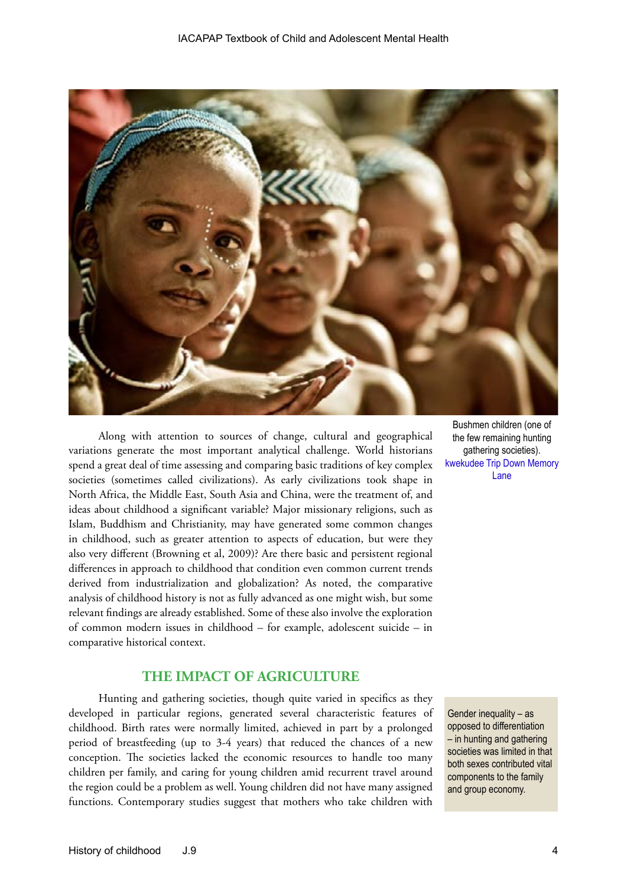

Along with attention to sources of change, cultural and geographical variations generate the most important analytical challenge. World historians spend a great deal of time assessing and comparing basic traditions of key complex societies (sometimes called civilizations). As early civilizations took shape in North Africa, the Middle East, South Asia and China, were the treatment of, and ideas about childhood a significant variable? Major missionary religions, such as Islam, Buddhism and Christianity, may have generated some common changes in childhood, such as greater attention to aspects of education, but were they also very different (Browning et al, 2009)? Are there basic and persistent regional differences in approach to childhood that condition even common current trends derived from industrialization and globalization? As noted, the comparative analysis of childhood history is not as fully advanced as one might wish, but some relevant findings are already established. Some of these also involve the exploration of common modern issues in childhood – for example, adolescent suicide – in comparative historical context.

#### **THE IMPACT OF AGRICULTURE**

Hunting and gathering societies, though quite varied in specifics as they developed in particular regions, generated several characteristic features of childhood. Birth rates were normally limited, achieved in part by a prolonged period of breastfeeding (up to 3-4 years) that reduced the chances of a new conception. The societies lacked the economic resources to handle too many children per family, and caring for young children amid recurrent travel around the region could be a problem as well. Young children did not have many assigned functions. Contemporary studies suggest that mothers who take children with

Bushmen children (one of the few remaining hunting gathering societies). [kwekudee Trip Down Memory]( http://kwekudee-tripdownmemorylane.blogspot.com.au/2013/06/san-bushmen-people-world-most-ancient.html)  [Lane]( http://kwekudee-tripdownmemorylane.blogspot.com.au/2013/06/san-bushmen-people-world-most-ancient.html)

Gender inequality – as opposed to differentiation – in hunting and gathering societies was limited in that both sexes contributed vital components to the family and group economy.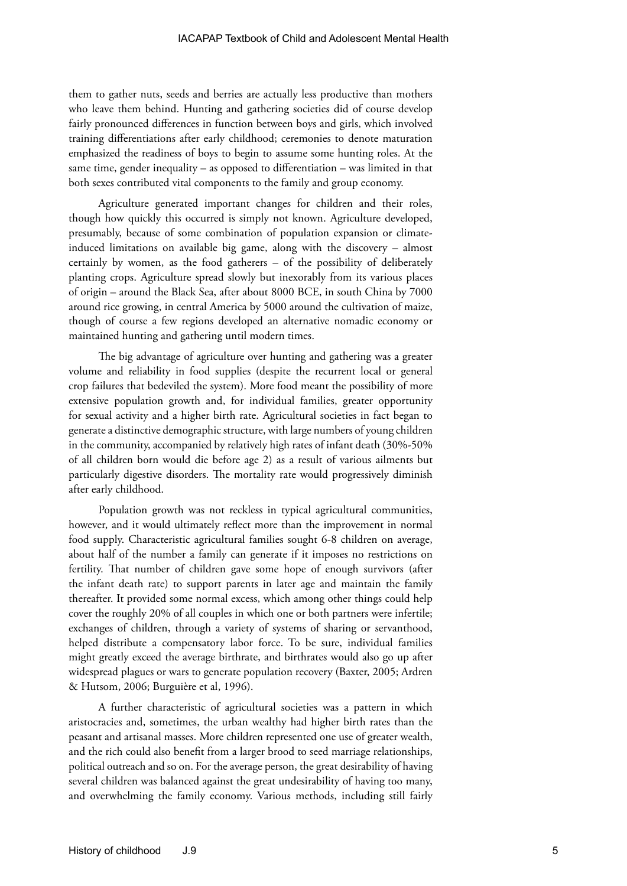them to gather nuts, seeds and berries are actually less productive than mothers who leave them behind. Hunting and gathering societies did of course develop fairly pronounced differences in function between boys and girls, which involved training differentiations after early childhood; ceremonies to denote maturation emphasized the readiness of boys to begin to assume some hunting roles. At the same time, gender inequality – as opposed to differentiation – was limited in that both sexes contributed vital components to the family and group economy.

Agriculture generated important changes for children and their roles, though how quickly this occurred is simply not known. Agriculture developed, presumably, because of some combination of population expansion or climateinduced limitations on available big game, along with the discovery – almost certainly by women, as the food gatherers – of the possibility of deliberately planting crops. Agriculture spread slowly but inexorably from its various places of origin – around the Black Sea, after about 8000 BCE, in south China by 7000 around rice growing, in central America by 5000 around the cultivation of maize, though of course a few regions developed an alternative nomadic economy or maintained hunting and gathering until modern times.

The big advantage of agriculture over hunting and gathering was a greater volume and reliability in food supplies (despite the recurrent local or general crop failures that bedeviled the system). More food meant the possibility of more extensive population growth and, for individual families, greater opportunity for sexual activity and a higher birth rate. Agricultural societies in fact began to generate a distinctive demographic structure, with large numbers of young children in the community, accompanied by relatively high rates of infant death (30%-50% of all children born would die before age 2) as a result of various ailments but particularly digestive disorders. The mortality rate would progressively diminish after early childhood.

Population growth was not reckless in typical agricultural communities, however, and it would ultimately reflect more than the improvement in normal food supply. Characteristic agricultural families sought 6-8 children on average, about half of the number a family can generate if it imposes no restrictions on fertility. That number of children gave some hope of enough survivors (after the infant death rate) to support parents in later age and maintain the family thereafter. It provided some normal excess, which among other things could help cover the roughly 20% of all couples in which one or both partners were infertile; exchanges of children, through a variety of systems of sharing or servanthood, helped distribute a compensatory labor force. To be sure, individual families might greatly exceed the average birthrate, and birthrates would also go up after widespread plagues or wars to generate population recovery (Baxter, 2005; Ardren & Hutsom, 2006; Burguière et al, 1996).

A further characteristic of agricultural societies was a pattern in which aristocracies and, sometimes, the urban wealthy had higher birth rates than the peasant and artisanal masses. More children represented one use of greater wealth, and the rich could also benefit from a larger brood to seed marriage relationships, political outreach and so on. For the average person, the great desirability of having several children was balanced against the great undesirability of having too many, and overwhelming the family economy. Various methods, including still fairly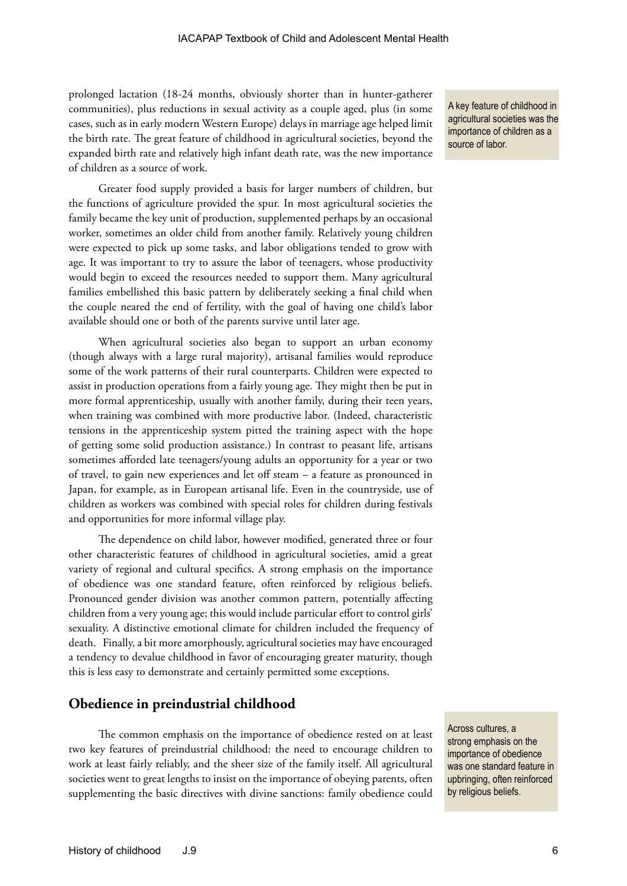prolonged lactation (18-24 months, obviously shorter than in hunter-gatherer communities), plus reductions in sexual activity as a couple aged, plus (in some cases, such as in early modern Western Europe) delays in marriage age helped limit the birth rate. The great feature of childhood in agricultural societies, beyond the expanded birth rate and relatively high infant death rate, was the new importance of children as a source of work.

Greater food supply provided a basis for larger numbers of children, but the functions of agriculture provided the spur. In most agricultural societies the family became the key unit of production, supplemented perhaps by an occasional worker, sometimes an older child from another family. Relatively young children were expected to pick up some tasks, and labor obligations tended to grow with age. It was important to try to assure the labor of teenagers, whose productivity would begin to exceed the resources needed to support them. Many agricultural families embellished this basic pattern by deliberately seeking a final child when the couple neared the end of fertility, with the goal of having one child's labor available should one or both of the parents survive until later age.

When agricultural societies also began to support an urban economy (though always with a large rural majority), artisanal families would reproduce some of the work patterns of their rural counterparts. Children were expected to assist in production operations from a fairly young age. They might then be put in more formal apprenticeship, usually with another family, during their teen years, when training was combined with more productive labor. (Indeed, characteristic tensions in the apprenticeship system pitted the training aspect with the hope of getting some solid production assistance.) In contrast to peasant life, artisans sometimes afforded late teenagers/young adults an opportunity for a year or two of travel, to gain new experiences and let off steam – a feature as pronounced in Japan, for example, as in European artisanal life. Even in the countryside, use of children as workers was combined with special roles for children during festivals and opportunities for more informal village play.

The dependence on child labor, however modified, generated three or four other characteristic features of childhood in agricultural societies, amid a great variety of regional and cultural specifics. A strong emphasis on the importance of obedience was one standard feature, often reinforced by religious beliefs. Pronounced gender division was another common pattern, potentially affecting children from a very young age; this would include particular effort to control girls' sexuality. A distinctive emotional climate for children included the frequency of death. Finally, a bit more amorphously, agricultural societies may have encouraged a tendency to devalue childhood in favor of encouraging greater maturity, though this is less easy to demonstrate and certainly permitted some exceptions.

#### **Obedience in preindustrial childhood**

The common emphasis on the importance of obedience rested on at least two key features of preindustrial childhood: the need to encourage children to work at least fairly reliably, and the sheer size of the family itself. All agricultural societies went to great lengths to insist on the importance of obeying parents, often supplementing the basic directives with divine sanctions: family obedience could

A key feature of childhood in agricultural societies was the importance of children as a source of labor.

Across cultures, a strong emphasis on the importance of obedience was one standard feature in upbringing, often reinforced by religious beliefs.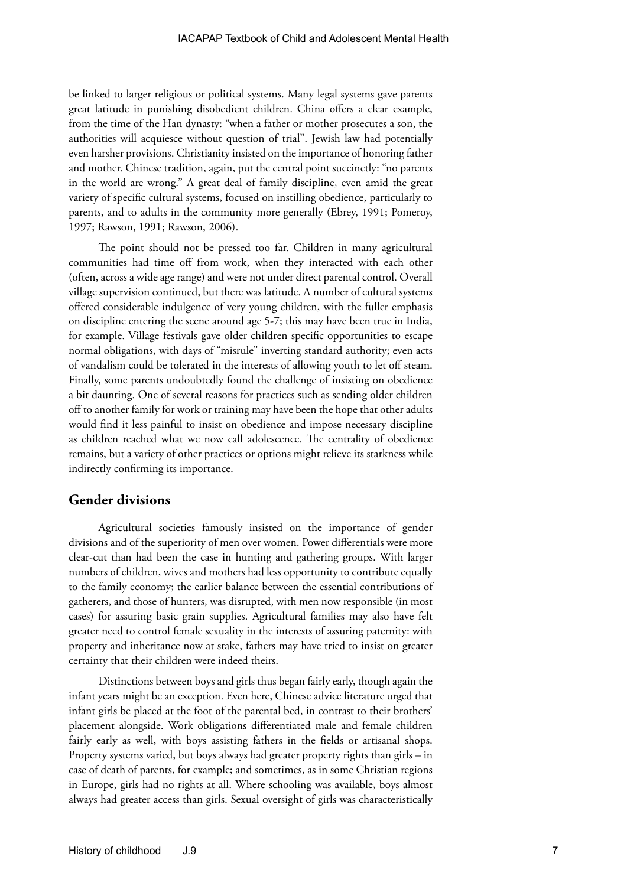be linked to larger religious or political systems. Many legal systems gave parents great latitude in punishing disobedient children. China offers a clear example, from the time of the Han dynasty: "when a father or mother prosecutes a son, the authorities will acquiesce without question of trial". Jewish law had potentially even harsher provisions. Christianity insisted on the importance of honoring father and mother. Chinese tradition, again, put the central point succinctly: "no parents in the world are wrong." A great deal of family discipline, even amid the great variety of specific cultural systems, focused on instilling obedience, particularly to parents, and to adults in the community more generally (Ebrey, 1991; Pomeroy, 1997; Rawson, 1991; Rawson, 2006).

The point should not be pressed too far. Children in many agricultural communities had time off from work, when they interacted with each other (often, across a wide age range) and were not under direct parental control. Overall village supervision continued, but there was latitude. A number of cultural systems offered considerable indulgence of very young children, with the fuller emphasis on discipline entering the scene around age 5-7; this may have been true in India, for example. Village festivals gave older children specific opportunities to escape normal obligations, with days of "misrule" inverting standard authority; even acts of vandalism could be tolerated in the interests of allowing youth to let off steam. Finally, some parents undoubtedly found the challenge of insisting on obedience a bit daunting. One of several reasons for practices such as sending older children off to another family for work or training may have been the hope that other adults would find it less painful to insist on obedience and impose necessary discipline as children reached what we now call adolescence. The centrality of obedience remains, but a variety of other practices or options might relieve its starkness while indirectly confirming its importance.

#### **Gender divisions**

Agricultural societies famously insisted on the importance of gender divisions and of the superiority of men over women. Power differentials were more clear-cut than had been the case in hunting and gathering groups. With larger numbers of children, wives and mothers had less opportunity to contribute equally to the family economy; the earlier balance between the essential contributions of gatherers, and those of hunters, was disrupted, with men now responsible (in most cases) for assuring basic grain supplies. Agricultural families may also have felt greater need to control female sexuality in the interests of assuring paternity: with property and inheritance now at stake, fathers may have tried to insist on greater certainty that their children were indeed theirs.

Distinctions between boys and girls thus began fairly early, though again the infant years might be an exception. Even here, Chinese advice literature urged that infant girls be placed at the foot of the parental bed, in contrast to their brothers' placement alongside. Work obligations differentiated male and female children fairly early as well, with boys assisting fathers in the fields or artisanal shops. Property systems varied, but boys always had greater property rights than girls – in case of death of parents, for example; and sometimes, as in some Christian regions in Europe, girls had no rights at all. Where schooling was available, boys almost always had greater access than girls. Sexual oversight of girls was characteristically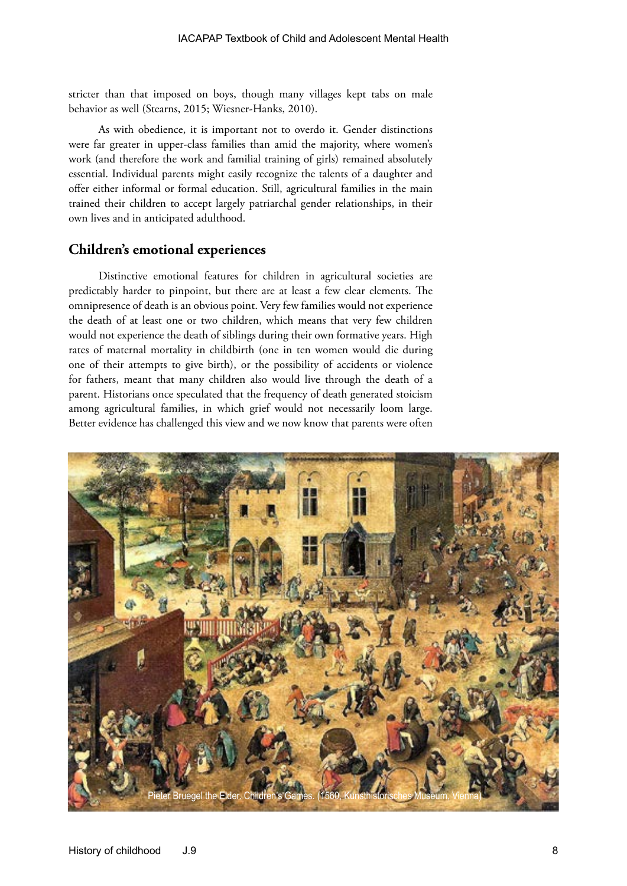stricter than that imposed on boys, though many villages kept tabs on male behavior as well (Stearns, 2015; Wiesner-Hanks, 2010).

As with obedience, it is important not to overdo it. Gender distinctions were far greater in upper-class families than amid the majority, where women's work (and therefore the work and familial training of girls) remained absolutely essential. Individual parents might easily recognize the talents of a daughter and offer either informal or formal education. Still, agricultural families in the main trained their children to accept largely patriarchal gender relationships, in their own lives and in anticipated adulthood.

# **Children's emotional experiences**

Distinctive emotional features for children in agricultural societies are predictably harder to pinpoint, but there are at least a few clear elements. The omnipresence of death is an obvious point. Very few families would not experience the death of at least one or two children, which means that very few children would not experience the death of siblings during their own formative years. High rates of maternal mortality in childbirth (one in ten women would die during one of their attempts to give birth), or the possibility of accidents or violence for fathers, meant that many children also would live through the death of a parent. Historians once speculated that the frequency of death generated stoicism among agricultural families, in which grief would not necessarily loom large. Better evidence has challenged this view and we now know that parents were often

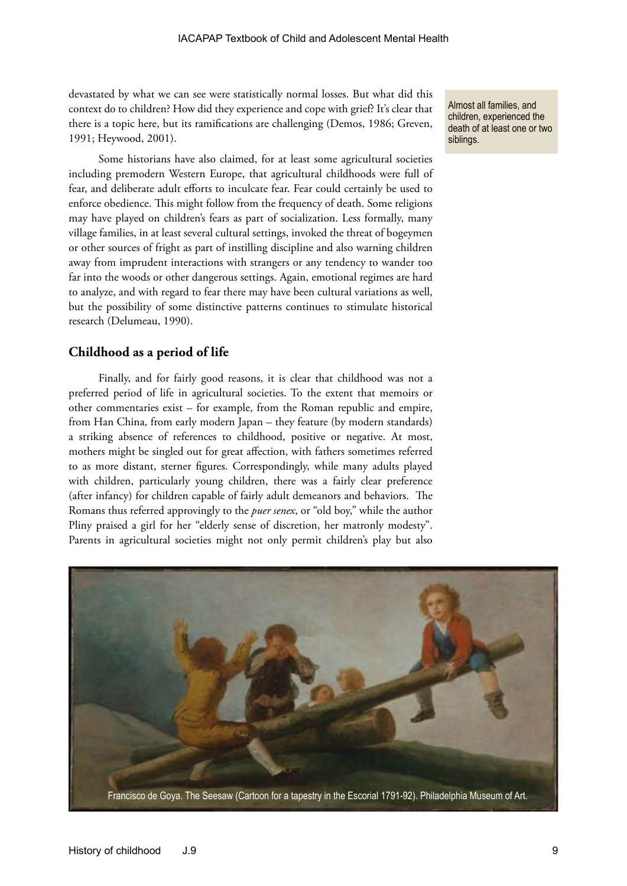devastated by what we can see were statistically normal losses. But what did this context do to children? How did they experience and cope with grief? It's clear that there is a topic here, but its ramifications are challenging (Demos, 1986; Greven, 1991; Heywood, 2001).

Some historians have also claimed, for at least some agricultural societies including premodern Western Europe, that agricultural childhoods were full of fear, and deliberate adult efforts to inculcate fear. Fear could certainly be used to enforce obedience. This might follow from the frequency of death. Some religions may have played on children's fears as part of socialization. Less formally, many village families, in at least several cultural settings, invoked the threat of bogeymen or other sources of fright as part of instilling discipline and also warning children away from imprudent interactions with strangers or any tendency to wander too far into the woods or other dangerous settings. Again, emotional regimes are hard to analyze, and with regard to fear there may have been cultural variations as well, but the possibility of some distinctive patterns continues to stimulate historical research (Delumeau, 1990).

#### **Childhood as a period of life**

Finally, and for fairly good reasons, it is clear that childhood was not a preferred period of life in agricultural societies. To the extent that memoirs or other commentaries exist – for example, from the Roman republic and empire, from Han China, from early modern Japan – they feature (by modern standards) a striking absence of references to childhood, positive or negative. At most, mothers might be singled out for great affection, with fathers sometimes referred to as more distant, sterner figures. Correspondingly, while many adults played with children, particularly young children, there was a fairly clear preference (after infancy) for children capable of fairly adult demeanors and behaviors. The Romans thus referred approvingly to the *puer senex*, or "old boy," while the author Pliny praised a girl for her "elderly sense of discretion, her matronly modesty". Parents in agricultural societies might not only permit children's play but also

Almost all families, and children, experienced the death of at least one or two siblings.

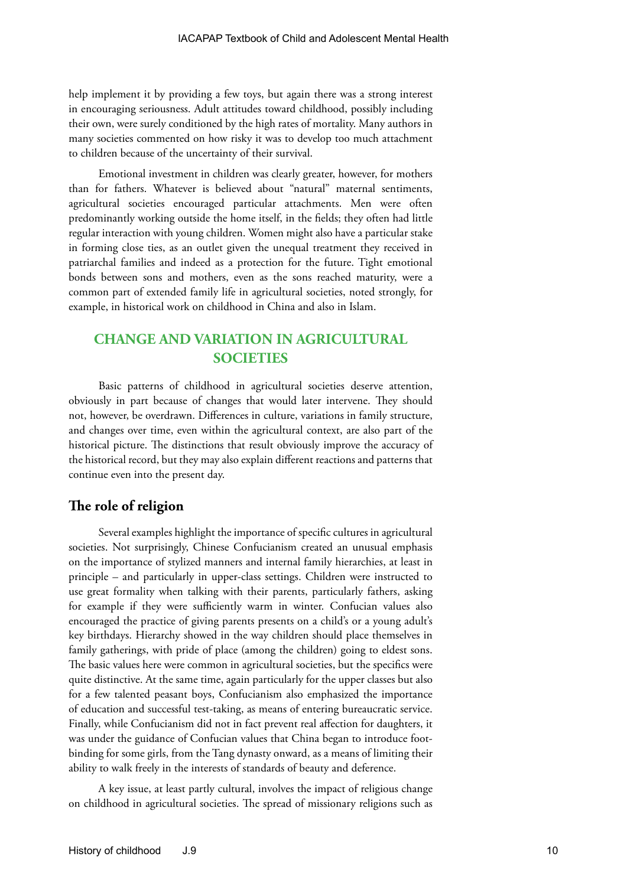help implement it by providing a few toys, but again there was a strong interest in encouraging seriousness. Adult attitudes toward childhood, possibly including their own, were surely conditioned by the high rates of mortality. Many authors in many societies commented on how risky it was to develop too much attachment to children because of the uncertainty of their survival.

Emotional investment in children was clearly greater, however, for mothers than for fathers. Whatever is believed about "natural" maternal sentiments, agricultural societies encouraged particular attachments. Men were often predominantly working outside the home itself, in the fields; they often had little regular interaction with young children. Women might also have a particular stake in forming close ties, as an outlet given the unequal treatment they received in patriarchal families and indeed as a protection for the future. Tight emotional bonds between sons and mothers, even as the sons reached maturity, were a common part of extended family life in agricultural societies, noted strongly, for example, in historical work on childhood in China and also in Islam.

# **CHANGE AND VARIATION IN AGRICULTURAL SOCIETIES**

Basic patterns of childhood in agricultural societies deserve attention, obviously in part because of changes that would later intervene. They should not, however, be overdrawn. Differences in culture, variations in family structure, and changes over time, even within the agricultural context, are also part of the historical picture. The distinctions that result obviously improve the accuracy of the historical record, but they may also explain different reactions and patterns that continue even into the present day.

## **The role of religion**

Several examples highlight the importance of specific cultures in agricultural societies. Not surprisingly, Chinese Confucianism created an unusual emphasis on the importance of stylized manners and internal family hierarchies, at least in principle – and particularly in upper-class settings. Children were instructed to use great formality when talking with their parents, particularly fathers, asking for example if they were sufficiently warm in winter. Confucian values also encouraged the practice of giving parents presents on a child's or a young adult's key birthdays. Hierarchy showed in the way children should place themselves in family gatherings, with pride of place (among the children) going to eldest sons. The basic values here were common in agricultural societies, but the specifics were quite distinctive. At the same time, again particularly for the upper classes but also for a few talented peasant boys, Confucianism also emphasized the importance of education and successful test-taking, as means of entering bureaucratic service. Finally, while Confucianism did not in fact prevent real affection for daughters, it was under the guidance of Confucian values that China began to introduce footbinding for some girls, from the Tang dynasty onward, as a means of limiting their ability to walk freely in the interests of standards of beauty and deference.

A key issue, at least partly cultural, involves the impact of religious change on childhood in agricultural societies. The spread of missionary religions such as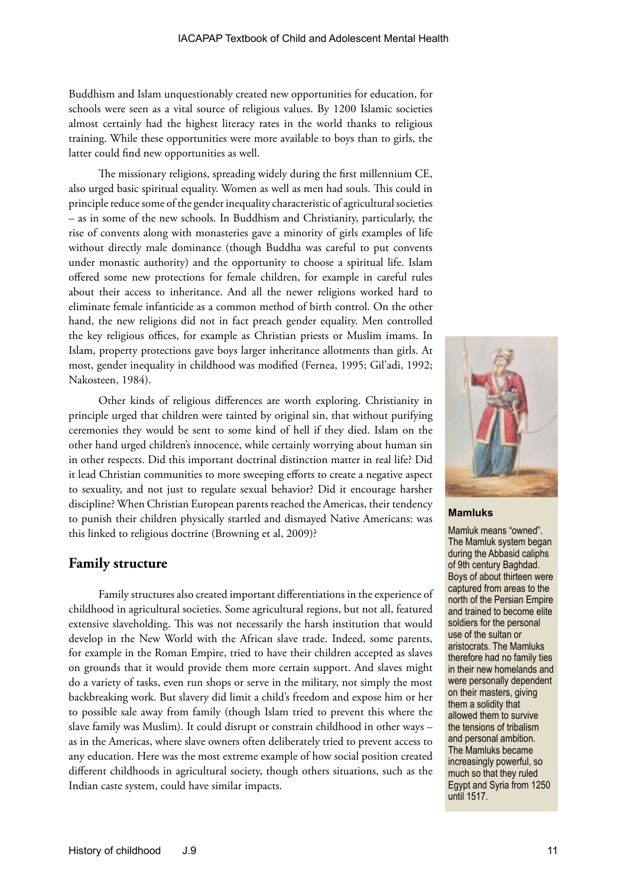Buddhism and Islam unquestionably created new opportunities for education, for schools were seen as a vital source of religious values. By 1200 Islamic societies almost certainly had the highest literacy rates in the world thanks to religious training. While these opportunities were more available to boys than to girls, the latter could find new opportunities as well.

The missionary religions, spreading widely during the first millennium CE, also urged basic spiritual equality. Women as well as men had souls. This could in principle reduce some of the gender inequality characteristic of agricultural societies – as in some of the new schools. In Buddhism and Christianity, particularly, the rise of convents along with monasteries gave a minority of girls examples of life without directly male dominance (though Buddha was careful to put convents under monastic authority) and the opportunity to choose a spiritual life. Islam offered some new protections for female children, for example in careful rules about their access to inheritance. And all the newer religions worked hard to eliminate female infanticide as a common method of birth control. On the other hand, the new religions did not in fact preach gender equality. Men controlled the key religious offices, for example as Christian priests or Muslim imams. In Islam, property protections gave boys larger inheritance allotments than girls. At most, gender inequality in childhood was modified (Fernea, 1995; Gil'adi, 1992; Nakosteen, 1984).

Other kinds of religious differences are worth exploring. Christianity in principle urged that children were tainted by original sin, that without purifying ceremonies they would be sent to some kind of hell if they died. Islam on the other hand urged children's innocence, while certainly worrying about human sin in other respects. Did this important doctrinal distinction matter in real life? Did it lead Christian communities to more sweeping efforts to create a negative aspect to sexuality, and not just to regulate sexual behavior? Did it encourage harsher discipline? When Christian European parents reached the Americas, their tendency to punish their children physically startled and dismayed Native Americans: was this linked to religious doctrine (Browning et al, 2009)?

#### **Family structure**

Family structures also created important differentiations in the experience of childhood in agricultural societies. Some agricultural regions, but not all, featured extensive slaveholding. This was not necessarily the harsh institution that would develop in the New World with the African slave trade. Indeed, some parents, for example in the Roman Empire, tried to have their children accepted as slaves on grounds that it would provide them more certain support. And slaves might do a variety of tasks, even run shops or serve in the military, not simply the most backbreaking work. But slavery did limit a child's freedom and expose him or her to possible sale away from family (though Islam tried to prevent this where the slave family was Muslim). It could disrupt or constrain childhood in other ways – as in the Americas, where slave owners often deliberately tried to prevent access to any education. Here was the most extreme example of how social position created different childhoods in agricultural society, though others situations, such as the Indian caste system, could have similar impacts.



**Mamluks**

Mamluk means "owned". The Mamluk system began during the Abbasid caliphs of 9th century Baghdad. Boys of about thirteen were captured from areas to the north of the Persian Empire and trained to become elite soldiers for the personal use of the sultan or aristocrats. The Mamluks therefore had no family ties in their new homelands and were personally dependent on their masters, giving them a solidity that allowed them to survive the tensions of tribalism and personal ambition. The Mamluks became increasingly powerful, so much so that they ruled Egypt and Syria from 1250 until 1517.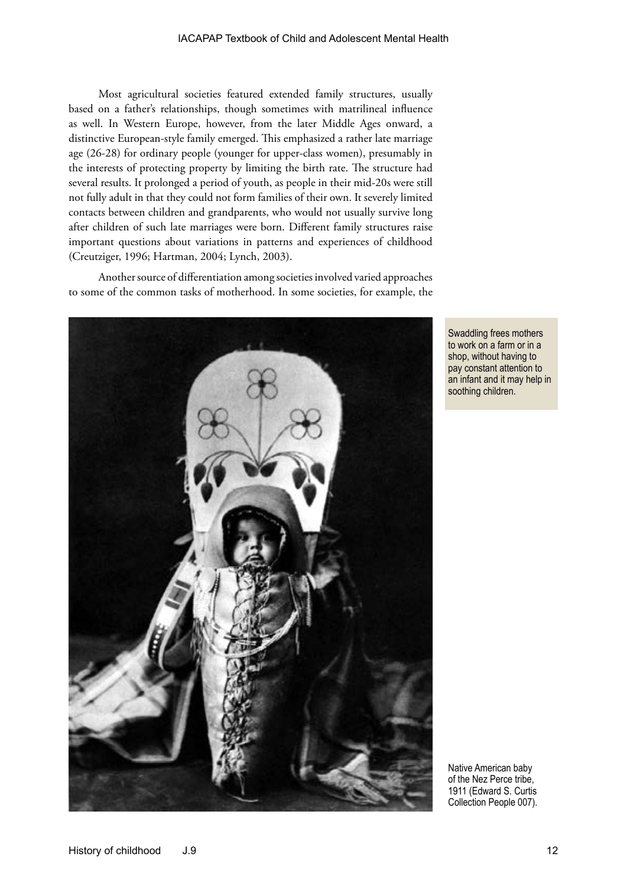Most agricultural societies featured extended family structures, usually based on a father's relationships, though sometimes with matrilineal influence as well. In Western Europe, however, from the later Middle Ages onward, a distinctive European-style family emerged. This emphasized a rather late marriage age (26-28) for ordinary people (younger for upper-class women), presumably in the interests of protecting property by limiting the birth rate. The structure had several results. It prolonged a period of youth, as people in their mid-20s were still not fully adult in that they could not form families of their own. It severely limited contacts between children and grandparents, who would not usually survive long after children of such late marriages were born. Different family structures raise important questions about variations in patterns and experiences of childhood (Creutziger, 1996; Hartman, 2004; Lynch, 2003).

Another source of differentiation among societies involved varied approaches to some of the common tasks of motherhood. In some societies, for example, the



Swaddling frees mothers to work on a farm or in a shop, without having to pay constant attention to an infant and it may help in soothing children.

Native American baby of the Nez Perce tribe, 1911 (Edward S. Curtis Collection People 007).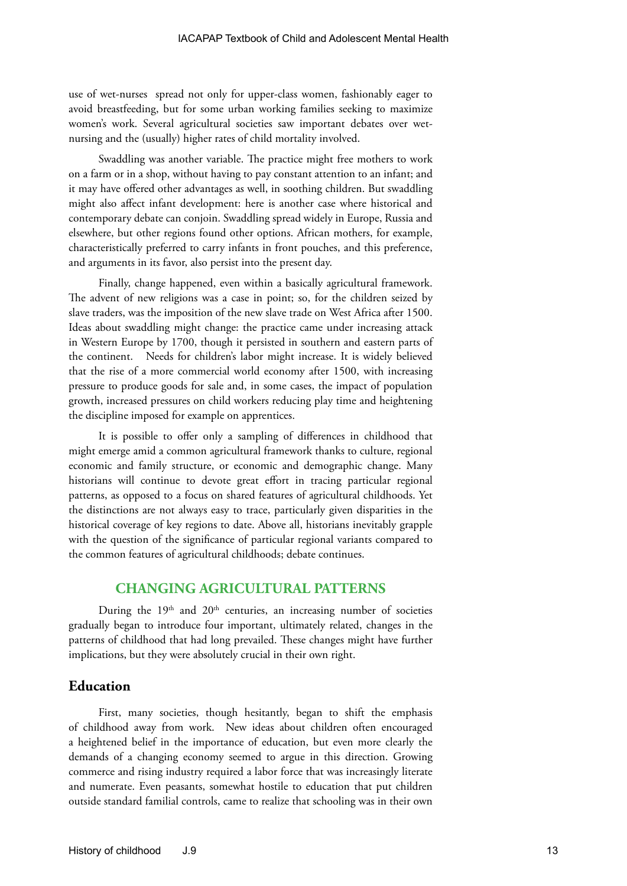use of wet-nurses spread not only for upper-class women, fashionably eager to avoid breastfeeding, but for some urban working families seeking to maximize women's work. Several agricultural societies saw important debates over wetnursing and the (usually) higher rates of child mortality involved.

Swaddling was another variable. The practice might free mothers to work on a farm or in a shop, without having to pay constant attention to an infant; and it may have offered other advantages as well, in soothing children. But swaddling might also affect infant development: here is another case where historical and contemporary debate can conjoin. Swaddling spread widely in Europe, Russia and elsewhere, but other regions found other options. African mothers, for example, characteristically preferred to carry infants in front pouches, and this preference, and arguments in its favor, also persist into the present day.

Finally, change happened, even within a basically agricultural framework. The advent of new religions was a case in point; so, for the children seized by slave traders, was the imposition of the new slave trade on West Africa after 1500. Ideas about swaddling might change: the practice came under increasing attack in Western Europe by 1700, though it persisted in southern and eastern parts of the continent. Needs for children's labor might increase. It is widely believed that the rise of a more commercial world economy after 1500, with increasing pressure to produce goods for sale and, in some cases, the impact of population growth, increased pressures on child workers reducing play time and heightening the discipline imposed for example on apprentices.

It is possible to offer only a sampling of differences in childhood that might emerge amid a common agricultural framework thanks to culture, regional economic and family structure, or economic and demographic change. Many historians will continue to devote great effort in tracing particular regional patterns, as opposed to a focus on shared features of agricultural childhoods. Yet the distinctions are not always easy to trace, particularly given disparities in the historical coverage of key regions to date. Above all, historians inevitably grapple with the question of the significance of particular regional variants compared to the common features of agricultural childhoods; debate continues.

#### **CHANGING AGRICULTURAL PATTERNS**

During the  $19<sup>th</sup>$  and  $20<sup>th</sup>$  centuries, an increasing number of societies gradually began to introduce four important, ultimately related, changes in the patterns of childhood that had long prevailed. These changes might have further implications, but they were absolutely crucial in their own right.

#### **Education**

First, many societies, though hesitantly, began to shift the emphasis of childhood away from work. New ideas about children often encouraged a heightened belief in the importance of education, but even more clearly the demands of a changing economy seemed to argue in this direction. Growing commerce and rising industry required a labor force that was increasingly literate and numerate. Even peasants, somewhat hostile to education that put children outside standard familial controls, came to realize that schooling was in their own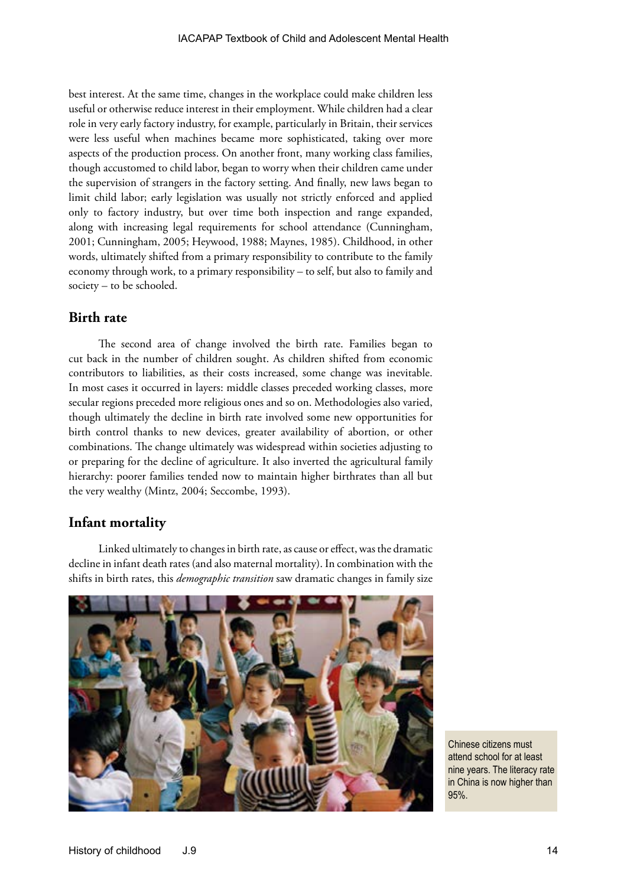best interest. At the same time, changes in the workplace could make children less useful or otherwise reduce interest in their employment. While children had a clear role in very early factory industry, for example, particularly in Britain, their services were less useful when machines became more sophisticated, taking over more aspects of the production process. On another front, many working class families, though accustomed to child labor, began to worry when their children came under the supervision of strangers in the factory setting. And finally, new laws began to limit child labor; early legislation was usually not strictly enforced and applied only to factory industry, but over time both inspection and range expanded, along with increasing legal requirements for school attendance (Cunningham, 2001; Cunningham, 2005; Heywood, 1988; Maynes, 1985). Childhood, in other words, ultimately shifted from a primary responsibility to contribute to the family economy through work, to a primary responsibility – to self, but also to family and society – to be schooled.

## **Birth rate**

The second area of change involved the birth rate. Families began to cut back in the number of children sought. As children shifted from economic contributors to liabilities, as their costs increased, some change was inevitable. In most cases it occurred in layers: middle classes preceded working classes, more secular regions preceded more religious ones and so on. Methodologies also varied, though ultimately the decline in birth rate involved some new opportunities for birth control thanks to new devices, greater availability of abortion, or other combinations. The change ultimately was widespread within societies adjusting to or preparing for the decline of agriculture. It also inverted the agricultural family hierarchy: poorer families tended now to maintain higher birthrates than all but the very wealthy (Mintz, 2004; Seccombe, 1993).

#### **Infant mortality**

Linked ultimately to changes in birth rate, as cause or effect, was the dramatic decline in infant death rates (and also maternal mortality). In combination with the shifts in birth rates, this *demographic transition* saw dramatic changes in family size



Chinese citizens must attend school for at least nine years. The literacy rate in China is now higher than 95%.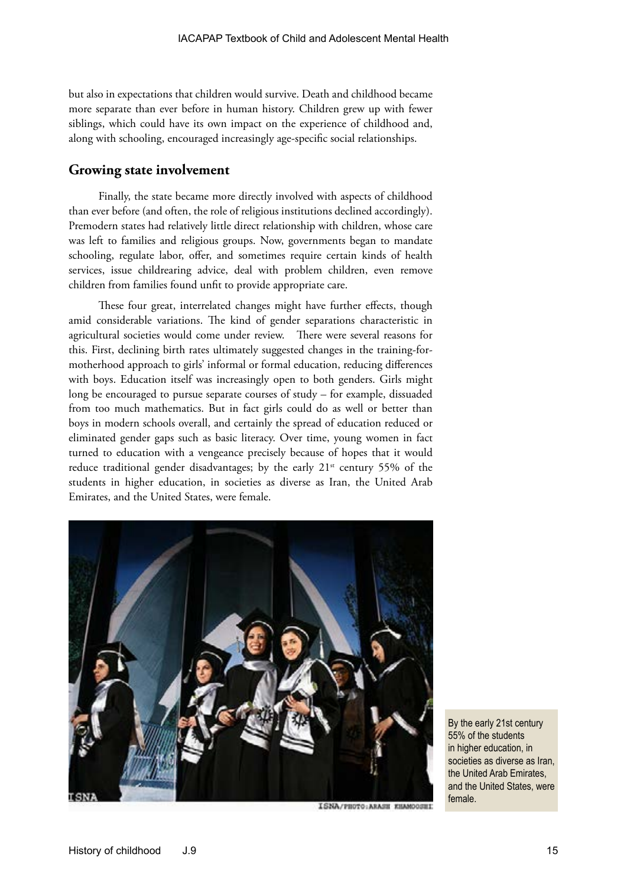but also in expectations that children would survive. Death and childhood became more separate than ever before in human history. Children grew up with fewer siblings, which could have its own impact on the experience of childhood and, along with schooling, encouraged increasingly age-specific social relationships.

#### **Growing state involvement**

Finally, the state became more directly involved with aspects of childhood than ever before (and often, the role of religious institutions declined accordingly). Premodern states had relatively little direct relationship with children, whose care was left to families and religious groups. Now, governments began to mandate schooling, regulate labor, offer, and sometimes require certain kinds of health services, issue childrearing advice, deal with problem children, even remove children from families found unfit to provide appropriate care.

These four great, interrelated changes might have further effects, though amid considerable variations. The kind of gender separations characteristic in agricultural societies would come under review. There were several reasons for this. First, declining birth rates ultimately suggested changes in the training-formotherhood approach to girls' informal or formal education, reducing differences with boys. Education itself was increasingly open to both genders. Girls might long be encouraged to pursue separate courses of study – for example, dissuaded from too much mathematics. But in fact girls could do as well or better than boys in modern schools overall, and certainly the spread of education reduced or eliminated gender gaps such as basic literacy. Over time, young women in fact turned to education with a vengeance precisely because of hopes that it would reduce traditional gender disadvantages; by the early  $21<sup>st</sup>$  century 55% of the students in higher education, in societies as diverse as Iran, the United Arab Emirates, and the United States, were female.



ISNA/PROTO: ARASH KHAMOOSHI

By the early 21st century 55% of the students in higher education, in societies as diverse as Iran, the United Arab Emirates, and the United States, were female.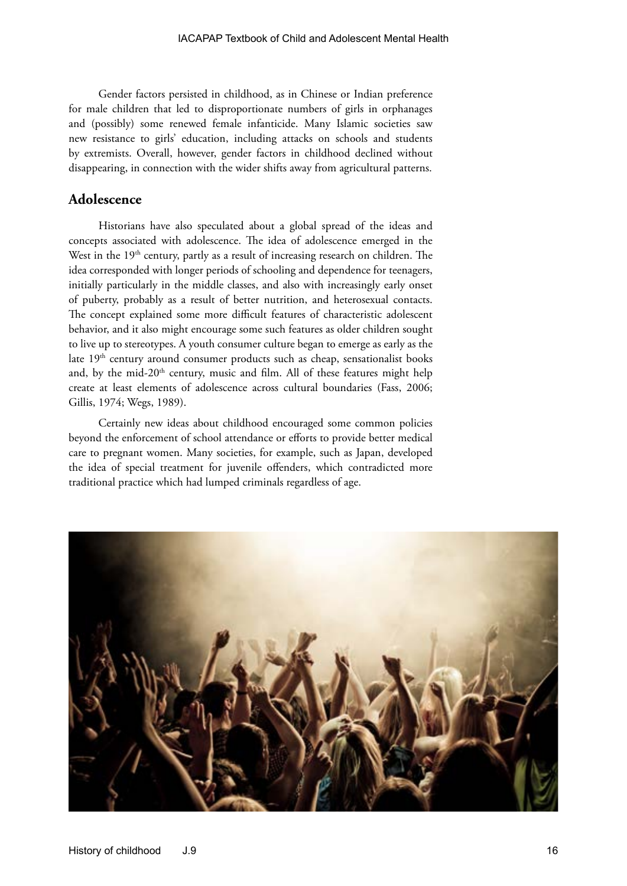Gender factors persisted in childhood, as in Chinese or Indian preference for male children that led to disproportionate numbers of girls in orphanages and (possibly) some renewed female infanticide. Many Islamic societies saw new resistance to girls' education, including attacks on schools and students by extremists. Overall, however, gender factors in childhood declined without disappearing, in connection with the wider shifts away from agricultural patterns.

#### **Adolescence**

Historians have also speculated about a global spread of the ideas and concepts associated with adolescence. The idea of adolescence emerged in the West in the  $19<sup>th</sup>$  century, partly as a result of increasing research on children. The idea corresponded with longer periods of schooling and dependence for teenagers, initially particularly in the middle classes, and also with increasingly early onset of puberty, probably as a result of better nutrition, and heterosexual contacts. The concept explained some more difficult features of characteristic adolescent behavior, and it also might encourage some such features as older children sought to live up to stereotypes. A youth consumer culture began to emerge as early as the late 19<sup>th</sup> century around consumer products such as cheap, sensationalist books and, by the mid-20th century, music and film. All of these features might help create at least elements of adolescence across cultural boundaries (Fass, 2006; Gillis, 1974; Wegs, 1989).

Certainly new ideas about childhood encouraged some common policies beyond the enforcement of school attendance or efforts to provide better medical care to pregnant women. Many societies, for example, such as Japan, developed the idea of special treatment for juvenile offenders, which contradicted more traditional practice which had lumped criminals regardless of age.

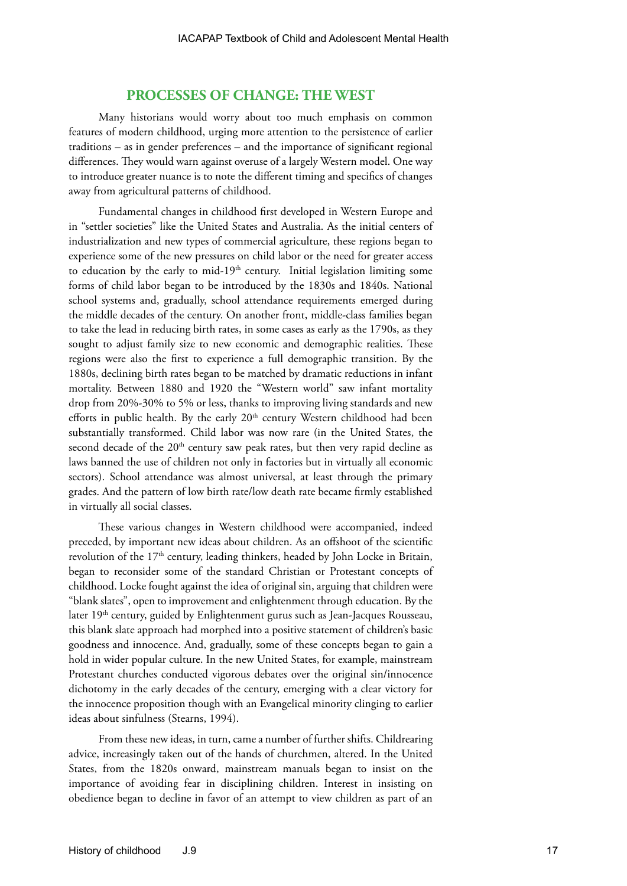#### **PROCESSES OF CHANGE: THE WEST**

Many historians would worry about too much emphasis on common features of modern childhood, urging more attention to the persistence of earlier traditions – as in gender preferences – and the importance of significant regional differences. They would warn against overuse of a largely Western model. One way to introduce greater nuance is to note the different timing and specifics of changes away from agricultural patterns of childhood.

Fundamental changes in childhood first developed in Western Europe and in "settler societies" like the United States and Australia. As the initial centers of industrialization and new types of commercial agriculture, these regions began to experience some of the new pressures on child labor or the need for greater access to education by the early to mid-19<sup>th</sup> century. Initial legislation limiting some forms of child labor began to be introduced by the 1830s and 1840s. National school systems and, gradually, school attendance requirements emerged during the middle decades of the century. On another front, middle-class families began to take the lead in reducing birth rates, in some cases as early as the 1790s, as they sought to adjust family size to new economic and demographic realities. These regions were also the first to experience a full demographic transition. By the 1880s, declining birth rates began to be matched by dramatic reductions in infant mortality. Between 1880 and 1920 the "Western world" saw infant mortality drop from 20%-30% to 5% or less, thanks to improving living standards and new efforts in public health. By the early  $20<sup>th</sup>$  century Western childhood had been substantially transformed. Child labor was now rare (in the United States, the second decade of the  $20<sup>th</sup>$  century saw peak rates, but then very rapid decline as laws banned the use of children not only in factories but in virtually all economic sectors). School attendance was almost universal, at least through the primary grades. And the pattern of low birth rate/low death rate became firmly established in virtually all social classes.

These various changes in Western childhood were accompanied, indeed preceded, by important new ideas about children. As an offshoot of the scientific revolution of the 17<sup>th</sup> century, leading thinkers, headed by John Locke in Britain, began to reconsider some of the standard Christian or Protestant concepts of childhood. Locke fought against the idea of original sin, arguing that children were "blank slates", open to improvement and enlightenment through education. By the later 19<sup>th</sup> century, guided by Enlightenment gurus such as Jean-Jacques Rousseau, this blank slate approach had morphed into a positive statement of children's basic goodness and innocence. And, gradually, some of these concepts began to gain a hold in wider popular culture. In the new United States, for example, mainstream Protestant churches conducted vigorous debates over the original sin/innocence dichotomy in the early decades of the century, emerging with a clear victory for the innocence proposition though with an Evangelical minority clinging to earlier ideas about sinfulness (Stearns, 1994).

From these new ideas, in turn, came a number of further shifts. Childrearing advice, increasingly taken out of the hands of churchmen, altered. In the United States, from the 1820s onward, mainstream manuals began to insist on the importance of avoiding fear in disciplining children. Interest in insisting on obedience began to decline in favor of an attempt to view children as part of an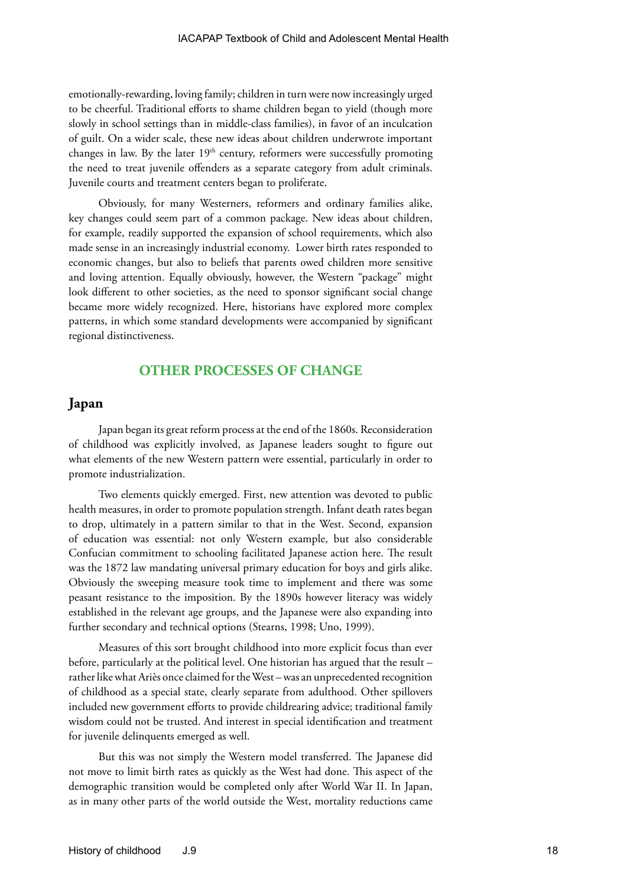emotionally-rewarding, loving family; children in turn were now increasingly urged to be cheerful. Traditional efforts to shame children began to yield (though more slowly in school settings than in middle-class families), in favor of an inculcation of guilt. On a wider scale, these new ideas about children underwrote important changes in law. By the later  $19<sup>th</sup>$  century, reformers were successfully promoting the need to treat juvenile offenders as a separate category from adult criminals. Juvenile courts and treatment centers began to proliferate.

Obviously, for many Westerners, reformers and ordinary families alike, key changes could seem part of a common package. New ideas about children, for example, readily supported the expansion of school requirements, which also made sense in an increasingly industrial economy. Lower birth rates responded to economic changes, but also to beliefs that parents owed children more sensitive and loving attention. Equally obviously, however, the Western "package" might look different to other societies, as the need to sponsor significant social change became more widely recognized. Here, historians have explored more complex patterns, in which some standard developments were accompanied by significant regional distinctiveness.

#### **OTHER PROCESSES OF CHANGE**

#### **Japan**

Japan began its great reform process at the end of the 1860s. Reconsideration of childhood was explicitly involved, as Japanese leaders sought to figure out what elements of the new Western pattern were essential, particularly in order to promote industrialization.

Two elements quickly emerged. First, new attention was devoted to public health measures, in order to promote population strength. Infant death rates began to drop, ultimately in a pattern similar to that in the West. Second, expansion of education was essential: not only Western example, but also considerable Confucian commitment to schooling facilitated Japanese action here. The result was the 1872 law mandating universal primary education for boys and girls alike. Obviously the sweeping measure took time to implement and there was some peasant resistance to the imposition. By the 1890s however literacy was widely established in the relevant age groups, and the Japanese were also expanding into further secondary and technical options (Stearns, 1998; Uno, 1999).

Measures of this sort brought childhood into more explicit focus than ever before, particularly at the political level. One historian has argued that the result – rather like what Ariès once claimed for the West – was an unprecedented recognition of childhood as a special state, clearly separate from adulthood. Other spillovers included new government efforts to provide childrearing advice; traditional family wisdom could not be trusted. And interest in special identification and treatment for juvenile delinquents emerged as well.

But this was not simply the Western model transferred. The Japanese did not move to limit birth rates as quickly as the West had done. This aspect of the demographic transition would be completed only after World War II. In Japan, as in many other parts of the world outside the West, mortality reductions came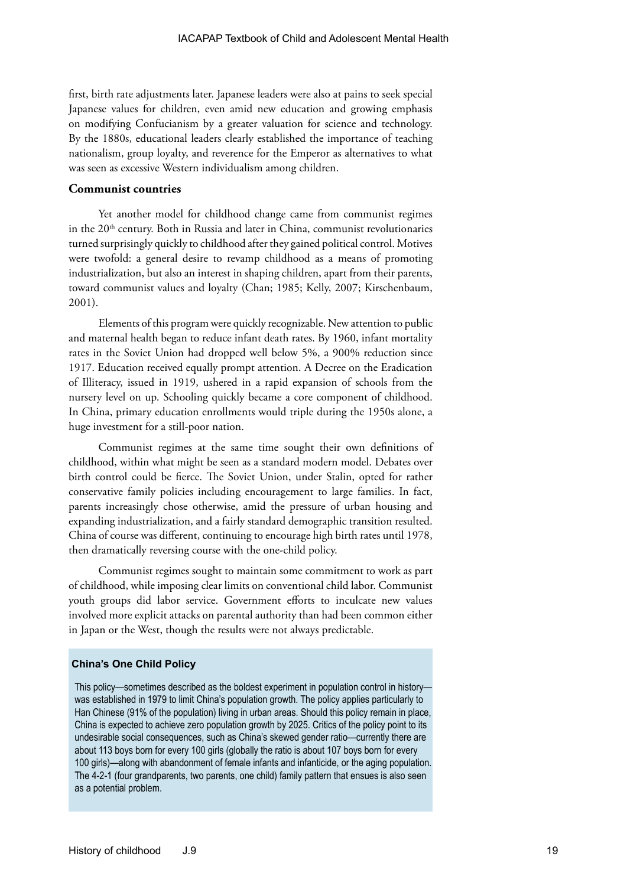first, birth rate adjustments later. Japanese leaders were also at pains to seek special Japanese values for children, even amid new education and growing emphasis on modifying Confucianism by a greater valuation for science and technology. By the 1880s, educational leaders clearly established the importance of teaching nationalism, group loyalty, and reverence for the Emperor as alternatives to what was seen as excessive Western individualism among children.

#### **Communist countries**

Yet another model for childhood change came from communist regimes in the 20<sup>th</sup> century. Both in Russia and later in China, communist revolutionaries turned surprisingly quickly to childhood after they gained political control. Motives were twofold: a general desire to revamp childhood as a means of promoting industrialization, but also an interest in shaping children, apart from their parents, toward communist values and loyalty (Chan; 1985; Kelly, 2007; Kirschenbaum, 2001).

Elements of this program were quickly recognizable. New attention to public and maternal health began to reduce infant death rates. By 1960, infant mortality rates in the Soviet Union had dropped well below 5%, a 900% reduction since 1917. Education received equally prompt attention. A Decree on the Eradication of Illiteracy, issued in 1919, ushered in a rapid expansion of schools from the nursery level on up. Schooling quickly became a core component of childhood. In China, primary education enrollments would triple during the 1950s alone, a huge investment for a still-poor nation.

Communist regimes at the same time sought their own definitions of childhood, within what might be seen as a standard modern model. Debates over birth control could be fierce. The Soviet Union, under Stalin, opted for rather conservative family policies including encouragement to large families. In fact, parents increasingly chose otherwise, amid the pressure of urban housing and expanding industrialization, and a fairly standard demographic transition resulted. China of course was different, continuing to encourage high birth rates until 1978, then dramatically reversing course with the one-child policy.

Communist regimes sought to maintain some commitment to work as part of childhood, while imposing clear limits on conventional child labor. Communist youth groups did labor service. Government efforts to inculcate new values involved more explicit attacks on parental authority than had been common either in Japan or the West, though the results were not always predictable.

#### **China's One Child Policy**

This policy—sometimes described as the boldest experiment in population control in history was established in 1979 to limit China's population growth. The policy applies particularly to Han Chinese (91% of the population) living in urban areas. Should this policy remain in place, China is expected to achieve zero population growth by 2025. Critics of the policy point to its undesirable social consequences, such as China's skewed gender ratio—currently there are about 113 boys born for every 100 girls (globally the ratio is about 107 boys born for every 100 girls)—along with abandonment of female infants and infanticide, or the aging population. The 4-2-1 (four grandparents, two parents, one child) family pattern that ensues is also seen as a potential problem.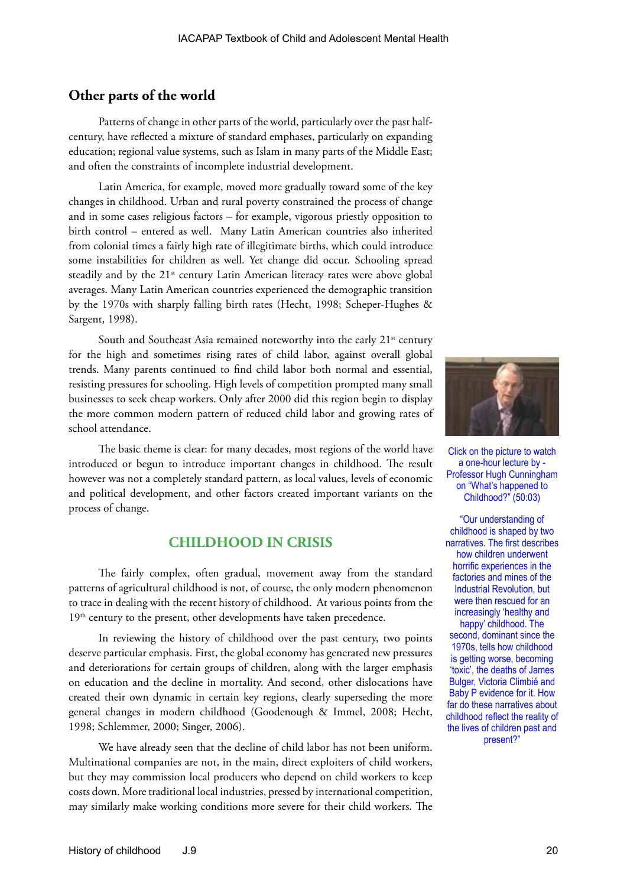## **Other parts of the world**

Patterns of change in other parts of the world, particularly over the past halfcentury, have reflected a mixture of standard emphases, particularly on expanding education; regional value systems, such as Islam in many parts of the Middle East; and often the constraints of incomplete industrial development.

Latin America, for example, moved more gradually toward some of the key changes in childhood. Urban and rural poverty constrained the process of change and in some cases religious factors – for example, vigorous priestly opposition to birth control – entered as well. Many Latin American countries also inherited from colonial times a fairly high rate of illegitimate births, which could introduce some instabilities for children as well. Yet change did occur. Schooling spread steadily and by the 21<sup>st</sup> century Latin American literacy rates were above global averages. Many Latin American countries experienced the demographic transition by the 1970s with sharply falling birth rates (Hecht, 1998; Scheper-Hughes & Sargent, 1998).

South and Southeast Asia remained noteworthy into the early 21<sup>st</sup> century for the high and sometimes rising rates of child labor, against overall global trends. Many parents continued to find child labor both normal and essential, resisting pressures for schooling. High levels of competition prompted many small businesses to seek cheap workers. Only after 2000 did this region begin to display the more common modern pattern of reduced child labor and growing rates of school attendance.

The basic theme is clear: for many decades, most regions of the world have introduced or begun to introduce important changes in childhood. The result however was not a completely standard pattern, as local values, levels of economic and political development, and other factors created important variants on the process of change.

## **CHILDHOOD IN CRISIS**

The fairly complex, often gradual, movement away from the standard patterns of agricultural childhood is not, of course, the only modern phenomenon to trace in dealing with the recent history of childhood. At various points from the 19<sup>th</sup> century to the present, other developments have taken precedence.

In reviewing the history of childhood over the past century, two points deserve particular emphasis. First, the global economy has generated new pressures and deteriorations for certain groups of children, along with the larger emphasis on education and the decline in mortality. And second, other dislocations have created their own dynamic in certain key regions, clearly superseding the more general changes in modern childhood (Goodenough & Immel, 2008; Hecht, 1998; Schlemmer, 2000; Singer, 2006).

We have already seen that the decline of child labor has not been uniform. Multinational companies are not, in the main, direct exploiters of child workers, but they may commission local producers who depend on child workers to keep costs down. More traditional local industries, pressed by international competition, may similarly make working conditions more severe for their child workers. The



Click on the picture to watch a one-hour lecture by - Professor Hugh Cunningham on "What's happened to Childhood?" (50:03)

"Our understanding of childhood is shaped by two narratives. The first describes how children underwent horrific experiences in the factories and mines of the Industrial Revolution, but were then rescued for an increasingly 'healthy and happy' childhood. The second, dominant since the 1970s, tells how childhood is getting worse, becoming 'toxic', the deaths of James Bulger, Victoria Climbié and Baby P evidence for it. How far do these narratives about childhood reflect the reality of the lives of children past and present?"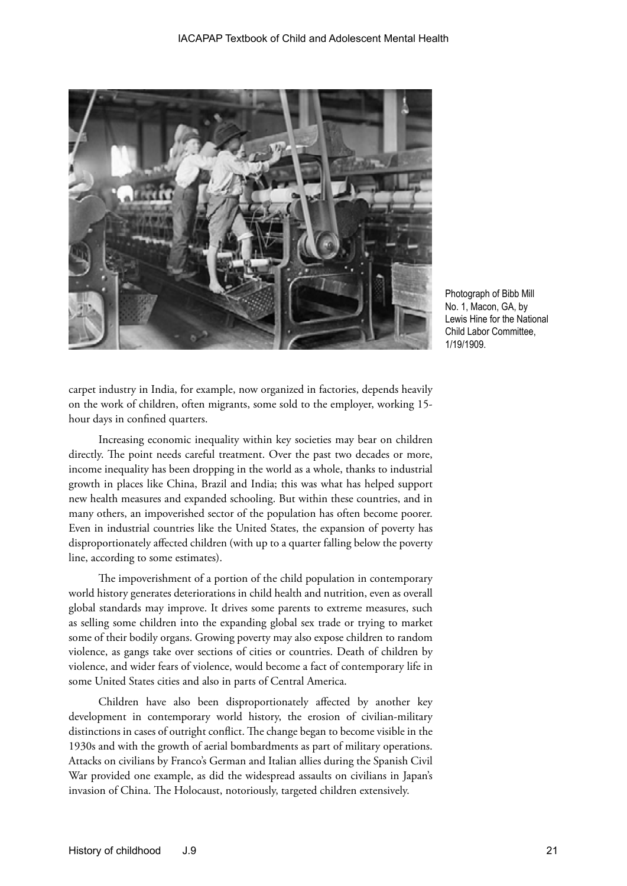

Photograph of Bibb Mill No. 1, Macon, GA, by Lewis Hine for the National Child Labor Committee, 1/19/1909.

carpet industry in India, for example, now organized in factories, depends heavily on the work of children, often migrants, some sold to the employer, working 15 hour days in confined quarters.

Increasing economic inequality within key societies may bear on children directly. The point needs careful treatment. Over the past two decades or more, income inequality has been dropping in the world as a whole, thanks to industrial growth in places like China, Brazil and India; this was what has helped support new health measures and expanded schooling. But within these countries, and in many others, an impoverished sector of the population has often become poorer. Even in industrial countries like the United States, the expansion of poverty has disproportionately affected children (with up to a quarter falling below the poverty line, according to some estimates).

The impoverishment of a portion of the child population in contemporary world history generates deteriorations in child health and nutrition, even as overall global standards may improve. It drives some parents to extreme measures, such as selling some children into the expanding global sex trade or trying to market some of their bodily organs. Growing poverty may also expose children to random violence, as gangs take over sections of cities or countries. Death of children by violence, and wider fears of violence, would become a fact of contemporary life in some United States cities and also in parts of Central America.

Children have also been disproportionately affected by another key development in contemporary world history, the erosion of civilian-military distinctions in cases of outright conflict. The change began to become visible in the 1930s and with the growth of aerial bombardments as part of military operations. Attacks on civilians by Franco's German and Italian allies during the Spanish Civil War provided one example, as did the widespread assaults on civilians in Japan's invasion of China. The Holocaust, notoriously, targeted children extensively.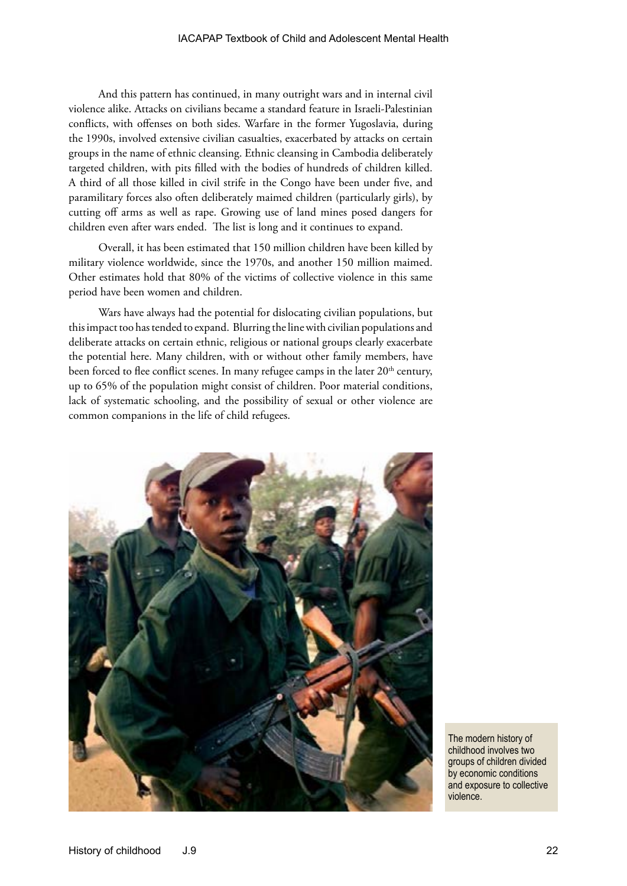And this pattern has continued, in many outright wars and in internal civil violence alike. Attacks on civilians became a standard feature in Israeli-Palestinian conflicts, with offenses on both sides. Warfare in the former Yugoslavia, during the 1990s, involved extensive civilian casualties, exacerbated by attacks on certain groups in the name of ethnic cleansing. Ethnic cleansing in Cambodia deliberately targeted children, with pits filled with the bodies of hundreds of children killed. A third of all those killed in civil strife in the Congo have been under five, and paramilitary forces also often deliberately maimed children (particularly girls), by cutting off arms as well as rape. Growing use of land mines posed dangers for children even after wars ended. The list is long and it continues to expand.

Overall, it has been estimated that 150 million children have been killed by military violence worldwide, since the 1970s, and another 150 million maimed. Other estimates hold that 80% of the victims of collective violence in this same period have been women and children.

Wars have always had the potential for dislocating civilian populations, but this impact too has tended to expand. Blurring the line with civilian populations and deliberate attacks on certain ethnic, religious or national groups clearly exacerbate the potential here. Many children, with or without other family members, have been forced to flee conflict scenes. In many refugee camps in the later  $20<sup>th</sup>$  century, up to 65% of the population might consist of children. Poor material conditions, lack of systematic schooling, and the possibility of sexual or other violence are common companions in the life of child refugees.



The modern history of childhood involves two groups of children divided by economic conditions and exposure to collective violence.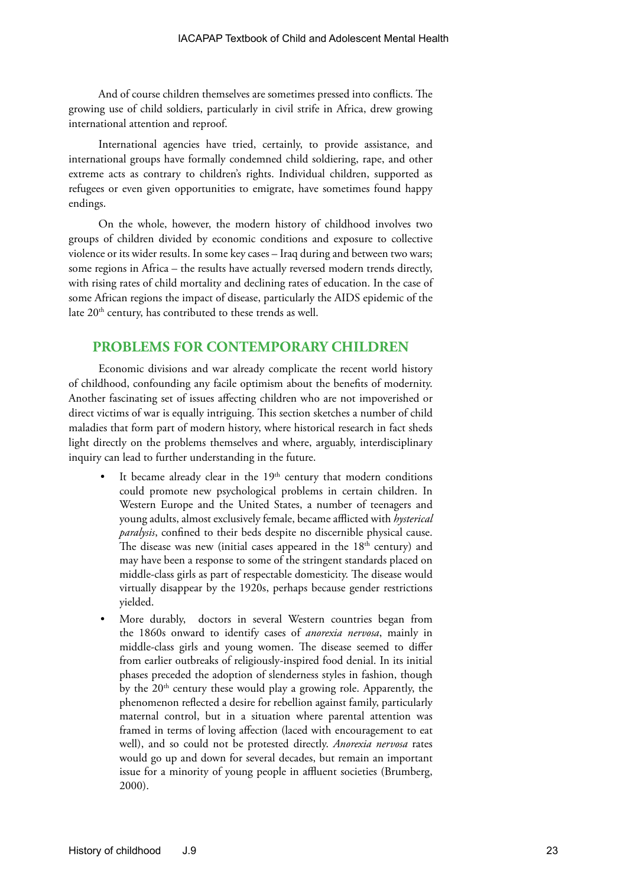And of course children themselves are sometimes pressed into conflicts. The growing use of child soldiers, particularly in civil strife in Africa, drew growing international attention and reproof.

International agencies have tried, certainly, to provide assistance, and international groups have formally condemned child soldiering, rape, and other extreme acts as contrary to children's rights. Individual children, supported as refugees or even given opportunities to emigrate, have sometimes found happy endings.

On the whole, however, the modern history of childhood involves two groups of children divided by economic conditions and exposure to collective violence or its wider results. In some key cases – Iraq during and between two wars; some regions in Africa – the results have actually reversed modern trends directly, with rising rates of child mortality and declining rates of education. In the case of some African regions the impact of disease, particularly the AIDS epidemic of the late 20<sup>th</sup> century, has contributed to these trends as well.

#### **PROBLEMS FOR CONTEMPORARY CHILDREN**

Economic divisions and war already complicate the recent world history of childhood, confounding any facile optimism about the benefits of modernity. Another fascinating set of issues affecting children who are not impoverished or direct victims of war is equally intriguing. This section sketches a number of child maladies that form part of modern history, where historical research in fact sheds light directly on the problems themselves and where, arguably, interdisciplinary inquiry can lead to further understanding in the future.

- It became already clear in the 19<sup>th</sup> century that modern conditions could promote new psychological problems in certain children. In Western Europe and the United States, a number of teenagers and young adults, almost exclusively female, became afflicted with *hysterical paralysis*, confined to their beds despite no discernible physical cause. The disease was new (initial cases appeared in the  $18<sup>th</sup>$  century) and may have been a response to some of the stringent standards placed on middle-class girls as part of respectable domesticity. The disease would virtually disappear by the 1920s, perhaps because gender restrictions yielded.
- More durably, doctors in several Western countries began from the 1860s onward to identify cases of *anorexia nervosa*, mainly in middle-class girls and young women. The disease seemed to differ from earlier outbreaks of religiously-inspired food denial. In its initial phases preceded the adoption of slenderness styles in fashion, though by the 20<sup>th</sup> century these would play a growing role. Apparently, the phenomenon reflected a desire for rebellion against family, particularly maternal control, but in a situation where parental attention was framed in terms of loving affection (laced with encouragement to eat well), and so could not be protested directly. *Anorexia nervosa* rates would go up and down for several decades, but remain an important issue for a minority of young people in affluent societies (Brumberg, 2000).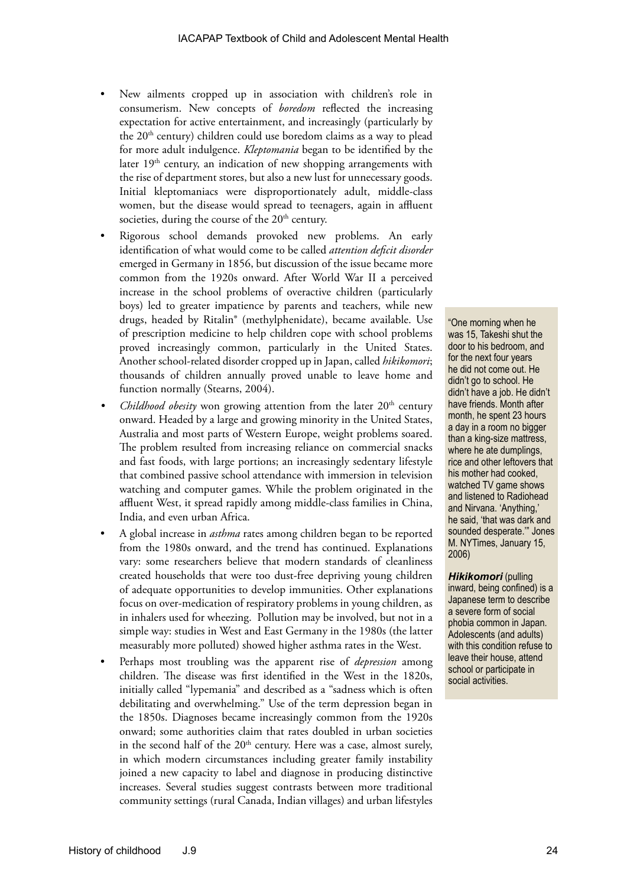- New ailments cropped up in association with children's role in consumerism. New concepts of *boredom* reflected the increasing expectation for active entertainment, and increasingly (particularly by the 20<sup>th</sup> century) children could use boredom claims as a way to plead for more adult indulgence. *Kleptomania* began to be identified by the later  $19<sup>th</sup>$  century, an indication of new shopping arrangements with the rise of department stores, but also a new lust for unnecessary goods. Initial kleptomaniacs were disproportionately adult, middle-class women, but the disease would spread to teenagers, again in affluent societies, during the course of the 20<sup>th</sup> century.
- Rigorous school demands provoked new problems. An early identification of what would come to be called *attention deficit disorder* emerged in Germany in 1856, but discussion of the issue became more common from the 1920s onward. After World War II a perceived increase in the school problems of overactive children (particularly boys) led to greater impatience by parents and teachers, while new drugs, headed by Ritalin® (methylphenidate), became available. Use of prescription medicine to help children cope with school problems proved increasingly common, particularly in the United States. Another school-related disorder cropped up in Japan, called *hikikomori*; thousands of children annually proved unable to leave home and function normally (Stearns, 2004).
- *Childhood obesity* won growing attention from the later  $20<sup>th</sup>$  century onward. Headed by a large and growing minority in the United States, Australia and most parts of Western Europe, weight problems soared. The problem resulted from increasing reliance on commercial snacks and fast foods, with large portions; an increasingly sedentary lifestyle that combined passive school attendance with immersion in television watching and computer games. While the problem originated in the affluent West, it spread rapidly among middle-class families in China, India, and even urban Africa.
- A global increase in *asthma* rates among children began to be reported from the 1980s onward, and the trend has continued. Explanations vary: some researchers believe that modern standards of cleanliness created households that were too dust-free depriving young children of adequate opportunities to develop immunities. Other explanations focus on over-medication of respiratory problems in young children, as in inhalers used for wheezing. Pollution may be involved, but not in a simple way: studies in West and East Germany in the 1980s (the latter measurably more polluted) showed higher asthma rates in the West.
- Perhaps most troubling was the apparent rise of *depression* among children. The disease was first identified in the West in the 1820s, initially called "lypemania" and described as a "sadness which is often debilitating and overwhelming." Use of the term depression began in the 1850s. Diagnoses became increasingly common from the 1920s onward; some authorities claim that rates doubled in urban societies in the second half of the 20<sup>th</sup> century. Here was a case, almost surely, in which modern circumstances including greater family instability joined a new capacity to label and diagnose in producing distinctive increases. Several studies suggest contrasts between more traditional community settings (rural Canada, Indian villages) and urban lifestyles

"One morning when he was 15, Takeshi shut the door to his bedroom, and for the next four years he did not come out. He didn't go to school. He didn't have a job. He didn't have friends. Month after month, he spent 23 hours a day in a room no bigger than a king-size mattress, where he ate dumplings, rice and other leftovers that his mother had cooked, watched TV game shows and listened to Radiohead and Nirvana. 'Anything,' he said, 'that was dark and sounded desperate.'" Jones M. NYTimes, January 15, 2006)

*Hikikomori* (pulling inward, being confined) is a Japanese term to describe a severe form of social phobia common in Japan. Adolescents (and adults) with this condition refuse to leave their house, attend school or participate in social activities.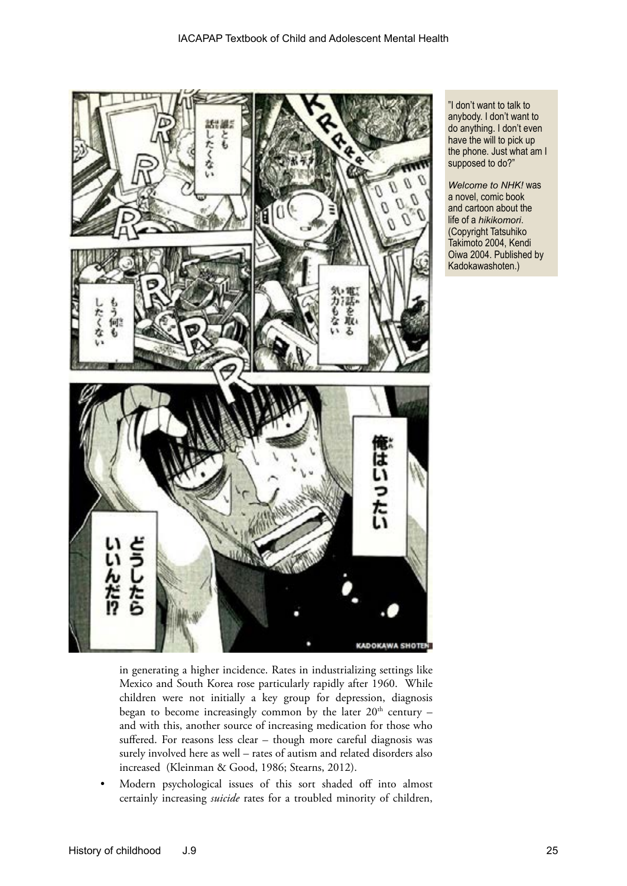

in generating a higher incidence. Rates in industrializing settings like Mexico and South Korea rose particularly rapidly after 1960. While children were not initially a key group for depression, diagnosis began to become increasingly common by the later  $20<sup>th</sup>$  century – and with this, another source of increasing medication for those who suffered. For reasons less clear – though more careful diagnosis was surely involved here as well – rates of autism and related disorders also increased (Kleinman & Good, 1986; Stearns, 2012).

• Modern psychological issues of this sort shaded off into almost certainly increasing *suicide* rates for a troubled minority of children,

"I don't want to talk to anybody. I don't want to do anything. I don't even have the will to pick up the phone. Just what am I supposed to do?"

*Welcome to NHK!* was a novel, comic book and cartoon about the life of a *hikikomori*. (Copyright Tatsuhiko Takimoto 2004, Kendi Oiwa 2004. Published by Kadokawashoten.)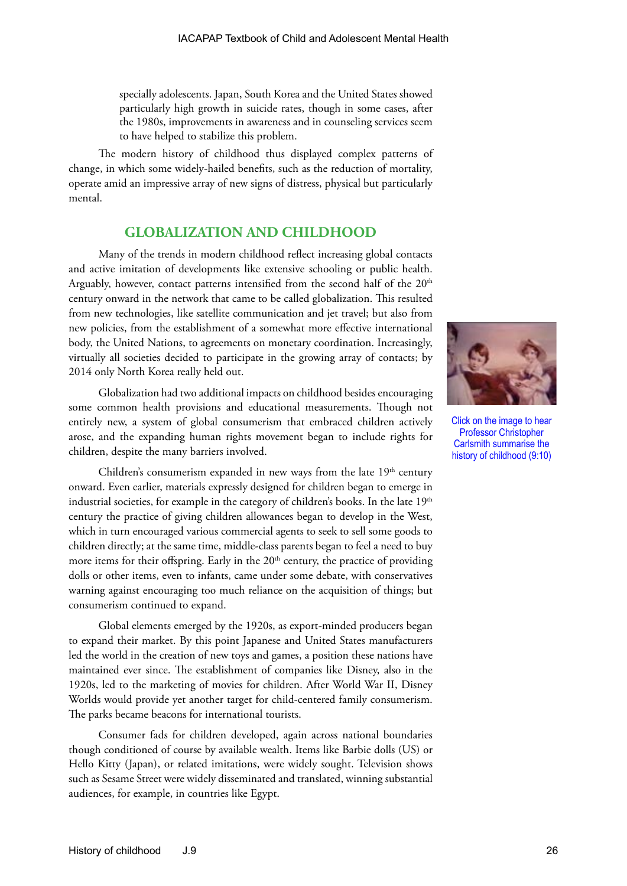specially adolescents. Japan, South Korea and the United States showed particularly high growth in suicide rates, though in some cases, after the 1980s, improvements in awareness and in counseling services seem to have helped to stabilize this problem.

The modern history of childhood thus displayed complex patterns of change, in which some widely-hailed benefits, such as the reduction of mortality, operate amid an impressive array of new signs of distress, physical but particularly mental.

#### **GLOBALIZATION AND CHILDHOOD**

Many of the trends in modern childhood reflect increasing global contacts and active imitation of developments like extensive schooling or public health. Arguably, however, contact patterns intensified from the second half of the 20<sup>th</sup> century onward in the network that came to be called globalization. This resulted from new technologies, like satellite communication and jet travel; but also from new policies, from the establishment of a somewhat more effective international body, the United Nations, to agreements on monetary coordination. Increasingly, virtually all societies decided to participate in the growing array of contacts; by 2014 only North Korea really held out.

Globalization had two additional impacts on childhood besides encouraging some common health provisions and educational measurements. Though not entirely new, a system of global consumerism that embraced children actively arose, and the expanding human rights movement began to include rights for children, despite the many barriers involved.

Children's consumerism expanded in new ways from the late  $19<sup>th</sup>$  century onward. Even earlier, materials expressly designed for children began to emerge in industrial societies, for example in the category of children's books. In the late 19<sup>th</sup> century the practice of giving children allowances began to develop in the West, which in turn encouraged various commercial agents to seek to sell some goods to children directly; at the same time, middle-class parents began to feel a need to buy more items for their offspring. Early in the  $20<sup>th</sup>$  century, the practice of providing dolls or other items, even to infants, came under some debate, with conservatives warning against encouraging too much reliance on the acquisition of things; but consumerism continued to expand.

Global elements emerged by the 1920s, as export-minded producers began to expand their market. By this point Japanese and United States manufacturers led the world in the creation of new toys and games, a position these nations have maintained ever since. The establishment of companies like Disney, also in the 1920s, led to the marketing of movies for children. After World War II, Disney Worlds would provide yet another target for child-centered family consumerism. The parks became beacons for international tourists.

Consumer fads for children developed, again across national boundaries though conditioned of course by available wealth. Items like Barbie dolls (US) or Hello Kitty (Japan), or related imitations, were widely sought. Television shows such as Sesame Street were widely disseminated and translated, winning substantial audiences, for example, in countries like Egypt.



Click on the image to hear Professor Christopher Carlsmith summarise the history of childhood (9:10)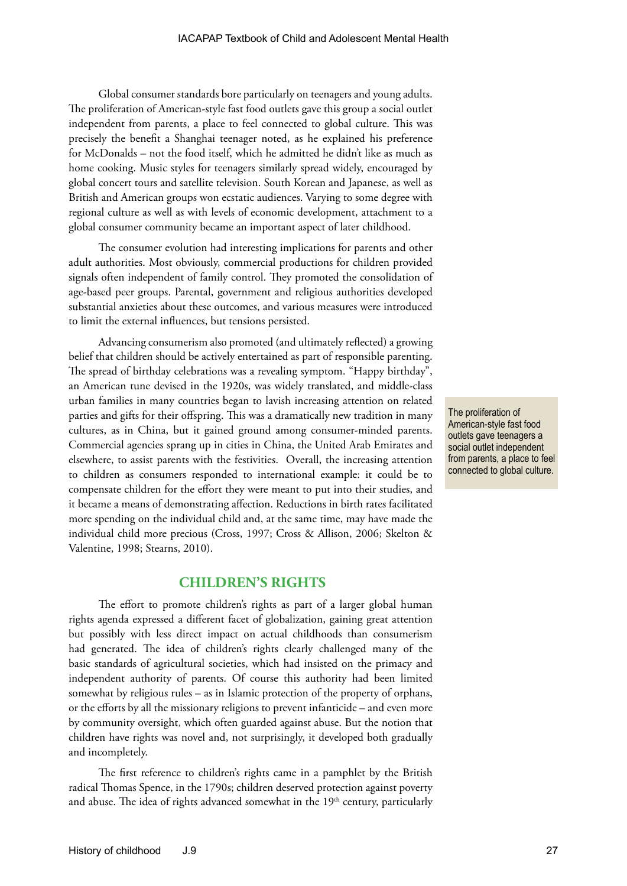Global consumer standards bore particularly on teenagers and young adults. The proliferation of American-style fast food outlets gave this group a social outlet independent from parents, a place to feel connected to global culture. This was precisely the benefit a Shanghai teenager noted, as he explained his preference for McDonalds – not the food itself, which he admitted he didn't like as much as home cooking. Music styles for teenagers similarly spread widely, encouraged by global concert tours and satellite television. South Korean and Japanese, as well as British and American groups won ecstatic audiences. Varying to some degree with regional culture as well as with levels of economic development, attachment to a global consumer community became an important aspect of later childhood.

The consumer evolution had interesting implications for parents and other adult authorities. Most obviously, commercial productions for children provided signals often independent of family control. They promoted the consolidation of age-based peer groups. Parental, government and religious authorities developed substantial anxieties about these outcomes, and various measures were introduced to limit the external influences, but tensions persisted.

Advancing consumerism also promoted (and ultimately reflected) a growing belief that children should be actively entertained as part of responsible parenting. The spread of birthday celebrations was a revealing symptom. "Happy birthday", an American tune devised in the 1920s, was widely translated, and middle-class urban families in many countries began to lavish increasing attention on related parties and gifts for their offspring. This was a dramatically new tradition in many cultures, as in China, but it gained ground among consumer-minded parents. Commercial agencies sprang up in cities in China, the United Arab Emirates and elsewhere, to assist parents with the festivities. Overall, the increasing attention to children as consumers responded to international example: it could be to compensate children for the effort they were meant to put into their studies, and it became a means of demonstrating affection. Reductions in birth rates facilitated more spending on the individual child and, at the same time, may have made the individual child more precious (Cross, 1997; Cross & Allison, 2006; Skelton & Valentine, 1998; Stearns, 2010).

#### **CHILDREN'S RIGHTS**

The effort to promote children's rights as part of a larger global human rights agenda expressed a different facet of globalization, gaining great attention but possibly with less direct impact on actual childhoods than consumerism had generated. The idea of children's rights clearly challenged many of the basic standards of agricultural societies, which had insisted on the primacy and independent authority of parents. Of course this authority had been limited somewhat by religious rules – as in Islamic protection of the property of orphans, or the efforts by all the missionary religions to prevent infanticide – and even more by community oversight, which often guarded against abuse. But the notion that children have rights was novel and, not surprisingly, it developed both gradually and incompletely.

The first reference to children's rights came in a pamphlet by the British radical Thomas Spence, in the 1790s; children deserved protection against poverty and abuse. The idea of rights advanced somewhat in the  $19<sup>th</sup>$  century, particularly

The proliferation of American-style fast food outlets gave teenagers a social outlet independent from parents, a place to feel connected to global culture.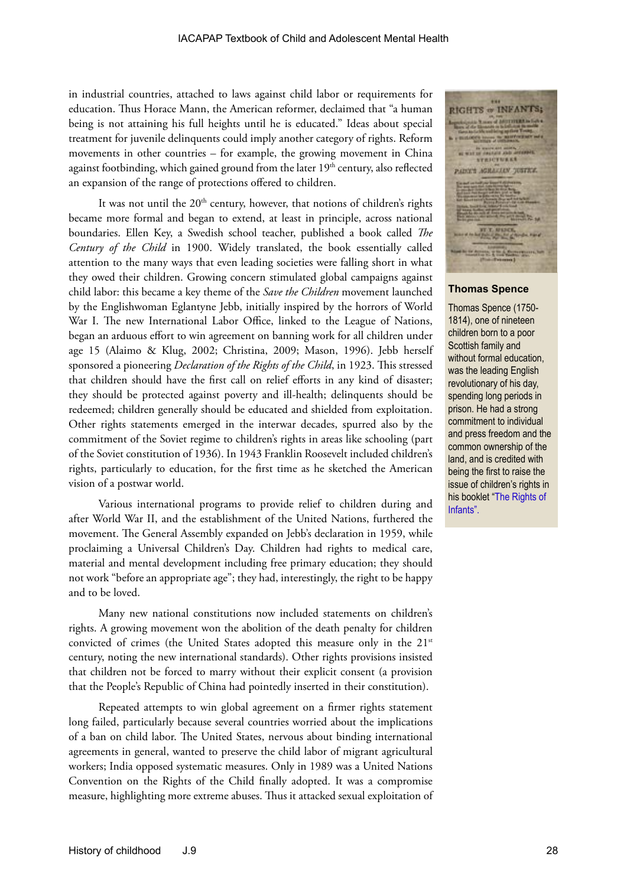in industrial countries, attached to laws against child labor or requirements for education. Thus Horace Mann, the American reformer, declaimed that "a human being is not attaining his full heights until he is educated." Ideas about special treatment for juvenile delinquents could imply another category of rights. Reform movements in other countries – for example, the growing movement in China against footbinding, which gained ground from the later 19<sup>th</sup> century, also reflected an expansion of the range of protections offered to children.

It was not until the  $20<sup>th</sup>$  century, however, that notions of children's rights became more formal and began to extend, at least in principle, across national boundaries. Ellen Key, a Swedish school teacher, published a book called *The Century of the Child* in 1900. Widely translated, the book essentially called attention to the many ways that even leading societies were falling short in what they owed their children. Growing concern stimulated global campaigns against child labor: this became a key theme of the *Save the Children* movement launched by the Englishwoman Eglantyne Jebb, initially inspired by the horrors of World War I. The new International Labor Office, linked to the League of Nations, began an arduous effort to win agreement on banning work for all children under age 15 (Alaimo & Klug, 2002; Christina, 2009; Mason, 1996). Jebb herself sponsored a pioneering *Declaration of the Rights of the Child*, in 1923. This stressed that children should have the first call on relief efforts in any kind of disaster; they should be protected against poverty and ill-health; delinquents should be redeemed; children generally should be educated and shielded from exploitation. Other rights statements emerged in the interwar decades, spurred also by the commitment of the Soviet regime to children's rights in areas like schooling (part of the Soviet constitution of 1936). In 1943 Franklin Roosevelt included children's rights, particularly to education, for the first time as he sketched the American vision of a postwar world.

Various international programs to provide relief to children during and after World War II, and the establishment of the United Nations, furthered the movement. The General Assembly expanded on Jebb's declaration in 1959, while proclaiming a Universal Children's Day. Children had rights to medical care, material and mental development including free primary education; they should not work "before an appropriate age"; they had, interestingly, the right to be happy and to be loved.

Many new national constitutions now included statements on children's rights. A growing movement won the abolition of the death penalty for children convicted of crimes (the United States adopted this measure only in the 21<sup>st</sup> century, noting the new international standards). Other rights provisions insisted that children not be forced to marry without their explicit consent (a provision that the People's Republic of China had pointedly inserted in their constitution).

Repeated attempts to win global agreement on a firmer rights statement long failed, particularly because several countries worried about the implications of a ban on child labor. The United States, nervous about binding international agreements in general, wanted to preserve the child labor of migrant agricultural workers; India opposed systematic measures. Only in 1989 was a United Nations Convention on the Rights of the Child finally adopted. It was a compromise measure, highlighting more extreme abuses. Thus it attacked sexual exploitation of

RIGHTS 
$$
\frac{1}{2}
$$
 INFANTS;

#### **Thomas Spence**

Thomas Spence (1750- 1814), one of nineteen children born to a poor Scottish family and without formal education, was the leading English revolutionary of his day, spending long periods in prison. He had a strong commitment to individual and press freedom and the common ownership of the land, and is credited with being the first to raise the issue of children's rights in his booklet "[The Rights of]( http://thomas-spence-society.co.uk/4.html
)  [Infants]( http://thomas-spence-society.co.uk/4.html
)".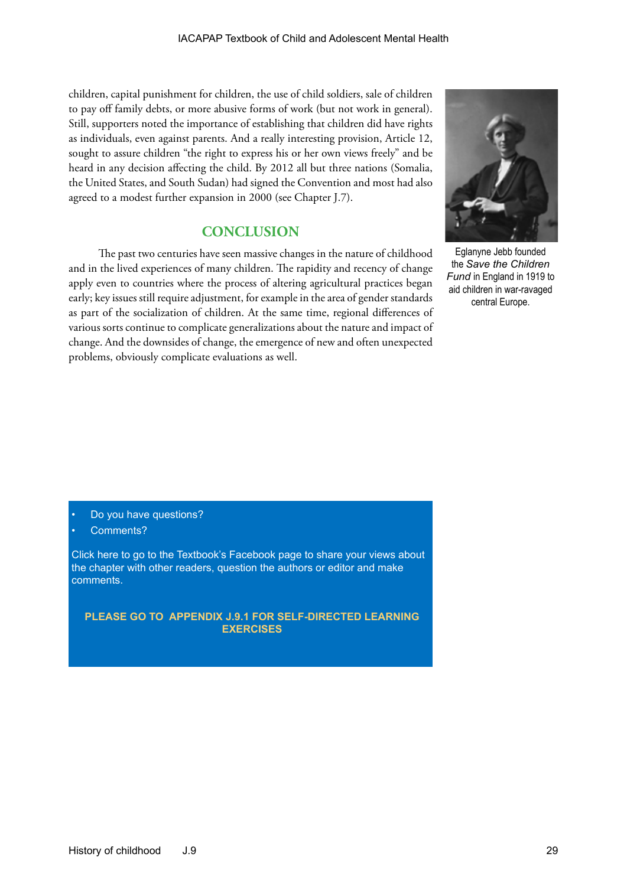children, capital punishment for children, the use of child soldiers, sale of children to pay off family debts, or more abusive forms of work (but not work in general). Still, supporters noted the importance of establishing that children did have rights as individuals, even against parents. And a really interesting provision, Article 12, sought to assure children "the right to express his or her own views freely" and be heard in any decision affecting the child. By 2012 all but three nations (Somalia, the United States, and South Sudan) had signed the Convention and most had also agreed to a modest further expansion in 2000 (see Chapter J.7).

## **CONCLUSION**

The past two centuries have seen massive changes in the nature of childhood and in the lived experiences of many children. The rapidity and recency of change apply even to countries where the process of altering agricultural practices began early; key issues still require adjustment, for example in the area of gender standards as part of the socialization of children. At the same time, regional differences of various sorts continue to complicate generalizations about the nature and impact of change. And the downsides of change, the emergence of new and often unexpected problems, obviously complicate evaluations as well.



Eglanyne Jebb founded the *Save the Children Fund* in England in 1919 to aid children in war-ravaged central Europe.

- Do you have questions?
- Comments?

[Click here to go to the Textbook's Facebook page to share your views about](https://www.facebook.com/pages/IACAPAP-Textbook-of-Child-and-Adolescent-Mental-Health/249690448525378)  the chapter with other readers, question the authors or editor and make comments.

**PLEASE GO TO APPENDIX J.9.1 FOR SELF-DIRECTED LEARNING EXERCISES**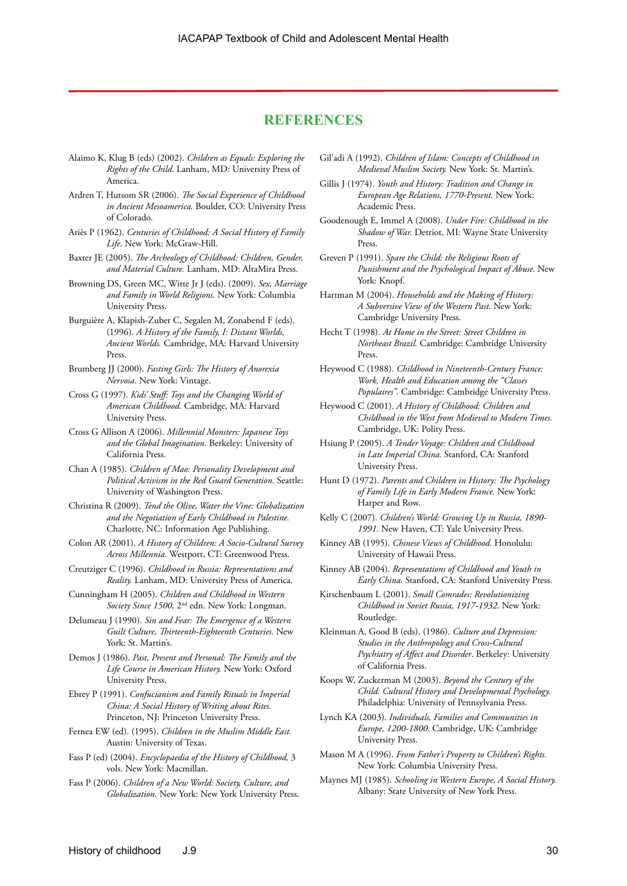#### **REFERENCES**

- Alaimo K, Klug B (eds) (2002). *Children as Equals: Exploring the Rights of the Child*. Lanham, MD: University Press of America.
- Ardren T, Hutsom SR (2006). *The Social Experience of Childhood in Ancient Mesoamerica.* Boulder, CO: University Press of Colorado.
- Ariès P (1962). *Centuries of Childhood: A Social History of Family Life*. New York: McGraw-Hill.
- Baxter JE (2005). *The Archeology of Childhood: Children, Gender, and Material Culture.* Lanham, MD: AltaMira Press.
- Browning DS, Green MC, Witte Jr J (eds). (2009). *Sex, Marriage and Family in World Religions.* New York: Columbia University Press.
- Burguière A, Klapish-Zuber C, Segalen M, Zonabend F (eds). (1996). *A History of the Family, I: Distant Worlds, Ancient Worlds.* Cambridge, MA: Harvard University Press.
- Brumberg JJ (2000). *Fasting Girls: The History of Anorexia Nervosa*. New York: Vintage.
- Cross G (1997). *Kids' Stuff: Toys and the Changing World of American Childhood.* Cambridge, MA: Harvard University Press.
- Cross G Allison A (2006). *Millennial Monsters: Japanese Toys and the Global Imagination*. Berkeley: University of California Press.
- Chan A (1985). *Children of Mao: Personality Development and Political Activism in the Red Guard Generation.* Seattle: University of Washington Press.
- Christina R (2009). *Tend the Olive, Water the Vine: Globalization and the Negotiation of Early Childhood in Palestine.*  Charlotte, NC: Information Age Publishing.
- Colon AR (2001). *A History of Children: A Socio-Cultural Survey Across Millennia.* Westport, CT: Greenwood Press.
- Creutziger C (1996). *Childhood in Russia: Representations and Reality.* Lanham, MD: University Press of America.
- Cunningham H (2005). *Children and Childhood in Western Society Since 1500,* 2nd edn. New York: Longman.
- Delumeau J (1990). *Sin and Fear: The Emergence of a Western Guilt Culture, Thirteenth-Eighteenth Centuries.* New York: St. Martin's.
- Demos J (1986). *Past, Present and Personal: The Family and the Life Course in American History.* New York: Oxford University Press.
- Ebrey P (1991). *Confucianism and Family Rituals in Imperial China: A Social History of Writing about Rites.*  Princeton, NJ: Princeton University Press.
- Fernea EW (ed). (1995). *Children in the Muslim Middle East.*  Austin: University of Texas.
- Fass P (ed) (2004). *Encyclopaedia of the History of Childhood,* 3 vols. New York: Macmillan.
- Fass P (2006). *Children of a New World: Society, Culture, and Globalization.* New York: New York University Press.
- Gil'adi A (1992). *Children of Islam: Concepts of Childhood in Medieval Muslim Society.* New York: St. Martin's.
- Gillis J (1974). *Youth and History: Tradition and Change in European Age Relations, 1770-Present.* New York: Academic Press.
- Goodenough E, Immel A (2008). *Under Fire: Childhood in the Shadow of War.* Detriot, MI: Wayne State University Press.
- Greven P (1991). *Spare the Child: the Religious Roots of Punishment and the Psychological Impact of Abuse.* New York: Knopf.
- Hartman M (2004). *Households and the Making of History: A Subversive View of the Western Past.* New York: Cambridge University Press.
- Hecht T (1998). *At Home in the Street: Street Children in Northeast Brazil.* Cambridge: Cambridge University Press.
- Heywood C (1988). *Childhood in Nineteenth-Century France: Work, Health and Education among the "Classes Populaires".* Cambridge: Cambridge University Press.
- Heywood C (2001). *A History of Childhood: Children and Childhood in the West from Medieval to Modern Times.*  Cambridge, UK: Polity Press.
- Hsiung P (2005). *A Tender Voyage: Children and Childhood in Late Imperial China.* Stanford, CA: Stanford University Press.
- Hunt D (1972). *Parents and Children in History: The Psychology of Family Life in Early Modern France.* New York: Harper and Row.
- Kelly C (2007). *Children's World: Growing Up in Russia, 1890- 1991.* New Haven, CT: Yale University Press.
- Kinney AB (1995). *Chinese Views of Childhood.* Honolulu: University of Hawaii Press.
- Kinney AB (2004). *Representations of Childhood and Youth in Early China.* Stanford, CA: Stanford University Press.
- Kirschenbaum L (2001). *Small Comrades: Revolutionizing Childhood in Soviet Russia, 1917-1932*. New York: Routledge.
- Kleinman A, Good B (eds). (1986). *Culture and Depression: Studies in the Anthropology and Cross-Cultural Psychiatry of Affect and Disorder*. Berkeley: University of California Press.
- Koops W, Zuckerman M (2003). *Beyond the Century of the Child: Cultural History and Developmental Psychology.*  Philadelphia: University of Pennsylvania Press.
- Lynch KA (2003). *Individuals, Families and Communities in Europe, 1200-1800.* Cambridge, UK: Cambridge University Press.
- Mason M A (1996). *From Father's Property to Children's Rights.*  New York: Columbia University Press.
- Maynes MJ (1985). *Schooling in Western Europe, A Social History.*  Albany: State University of New York Press.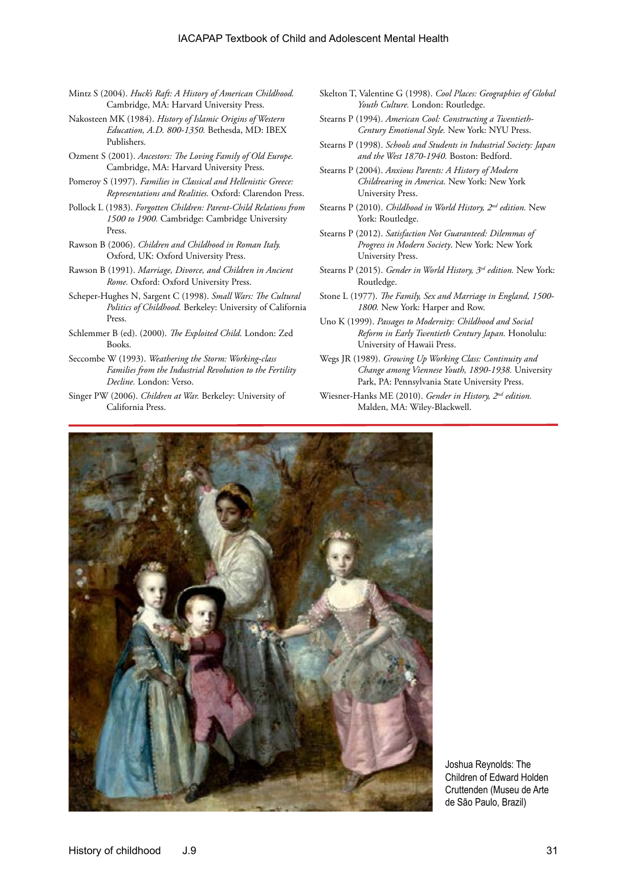- Mintz S (2004). *Huck's Raft: A History of American Childhood.*  Cambridge, MA: Harvard University Press.
- Nakosteen MK (1984). *History of Islamic Origins of Western Education, A.D. 800-1350.* Bethesda, MD: IBEX Publishers.
- Ozment S (2001). *Ancestors: The Loving Family of Old Europe.*  Cambridge, MA: Harvard University Press.
- Pomeroy S (1997). *Families in Classical and Hellenistic Greece: Representations and Realities.* Oxford: Clarendon Press.
- Pollock L (1983). *Forgotten Children: Parent-Child Relations from 1500 to 1900.* Cambridge: Cambridge University Press.
- Rawson B (2006). *Children and Childhood in Roman Italy.*  Oxford, UK: Oxford University Press.
- Rawson B (1991). *Marriage, Divorce, and Children in Ancient Rome.* Oxford: Oxford University Press.
- Scheper-Hughes N, Sargent C (1998). *Small Wars: The Cultural Politics of Childhood.* Berkeley: University of California Press.
- Schlemmer B (ed). (2000). *The Exploited Child.* London: Zed Books.
- Seccombe W (1993). *Weathering the Storm: Working-class Families from the Industrial Revolution to the Fertility Decline.* London: Verso.
- Singer PW (2006). *Children at War.* Berkeley: University of California Press.
- Skelton T, Valentine G (1998). *Cool Places: Geographies of Global Youth Culture.* London: Routledge.
- Stearns P (1994). *American Cool: Constructing a Twentieth-Century Emotional Style.* New York: NYU Press.
- Stearns P (1998). *Schools and Students in Industrial Society: Japan and the West 1870-1940.* Boston: Bedford.
- Stearns P (2004). *Anxious Parents: A History of Modern Childrearing in America*. New York: New York University Press.
- Stearns P (2010). *Childhood in World History, 2nd edition.* New York: Routledge.
- Stearns P (2012). *Satisfaction Not Guaranteed: Dilemmas of Progress in Modern Society*. New York: New York University Press.
- Stearns P (2015). *Gender in World History, 3rd edition.* New York: Routledge.
- Stone L (1977). *The Family, Sex and Marriage in England, 1500- 1800.* New York: Harper and Row.
- Uno K (1999). *Passages to Modernity: Childhood and Social Reform in Early Twentieth Century Japan.* Honolulu: University of Hawaii Press.
- Wegs JR (1989). *Growing Up Working Class: Continuity and Change among Viennese Youth, 1890-1938.* University Park, PA: Pennsylvania State University Press.
- Wiesner-Hanks ME (2010). *Gender in History, 2nd edition.* Malden, MA: Wiley-Blackwell.



Joshua Reynolds: The Children of Edward Holden Cruttenden (Museu de Arte de São Paulo, Brazil)